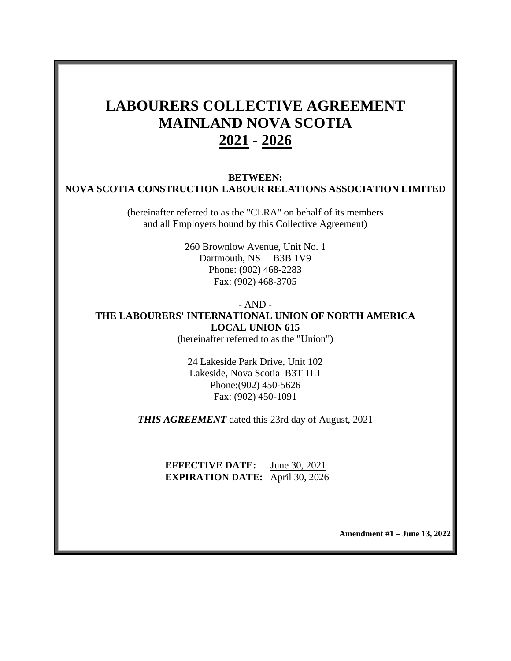# **LABOURERS COLLECTIVE AGREEMENT MAINLAND NOVA SCOTIA 2021 - 2026**

#### **BETWEEN: NOVA SCOTIA CONSTRUCTION LABOUR RELATIONS ASSOCIATION LIMITED**

(hereinafter referred to as the "CLRA" on behalf of its members and all Employers bound by this Collective Agreement)

> 260 Brownlow Avenue, Unit No. 1 Dartmouth, NS B3B 1V9 Phone: (902) 468-2283 Fax: (902) 468-3705

## - AND - **THE LABOURERS' INTERNATIONAL UNION OF NORTH AMERICA LOCAL UNION 615**

(hereinafter referred to as the "Union")

24 Lakeside Park Drive, Unit 102 Lakeside, Nova Scotia B3T 1L1 Phone:(902) 450-5626 Fax: (902) 450-1091

*THIS AGREEMENT* dated this 23rd day of August, 2021

**EFFECTIVE DATE:** June 30, 2021 **EXPIRATION DATE:** April 30, 2026

**Amendment #1 – June 13, 2022**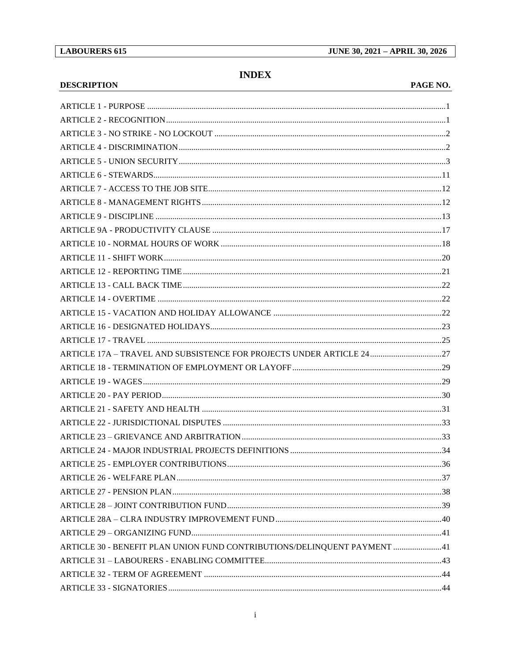**DESCRIPTION** 

## **INDEX**

#### PAGE NO.

| ARTICLE 17A - TRAVEL AND SUBSISTENCE FOR PROJECTS UNDER ARTICLE 2427     |  |
|--------------------------------------------------------------------------|--|
|                                                                          |  |
|                                                                          |  |
|                                                                          |  |
|                                                                          |  |
|                                                                          |  |
|                                                                          |  |
|                                                                          |  |
|                                                                          |  |
|                                                                          |  |
|                                                                          |  |
|                                                                          |  |
|                                                                          |  |
|                                                                          |  |
| ARTICLE 30 - BENEFIT PLAN UNION FUND CONTRIBUTIONS/DELINQUENT PAYMENT 41 |  |
|                                                                          |  |
|                                                                          |  |
|                                                                          |  |
|                                                                          |  |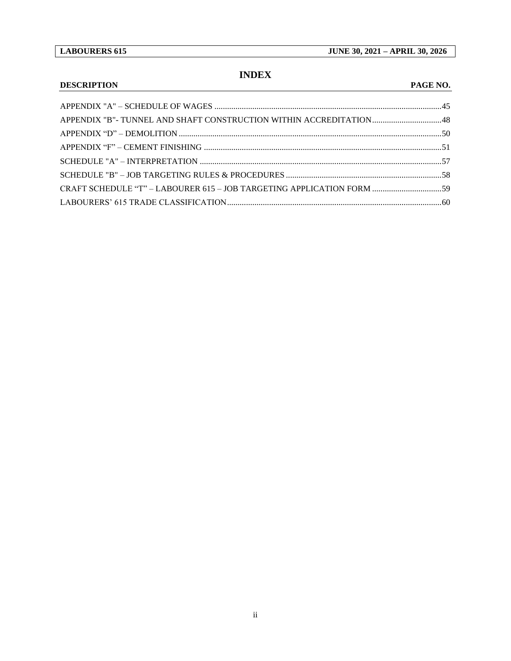## **INDEX**

### **DESCRIPTION PAGE NO.**

| CRAFT SCHEDULE "T" - LABOURER 615 - JOB TARGETING APPLICATION FORM  59 |  |
|------------------------------------------------------------------------|--|
|                                                                        |  |
|                                                                        |  |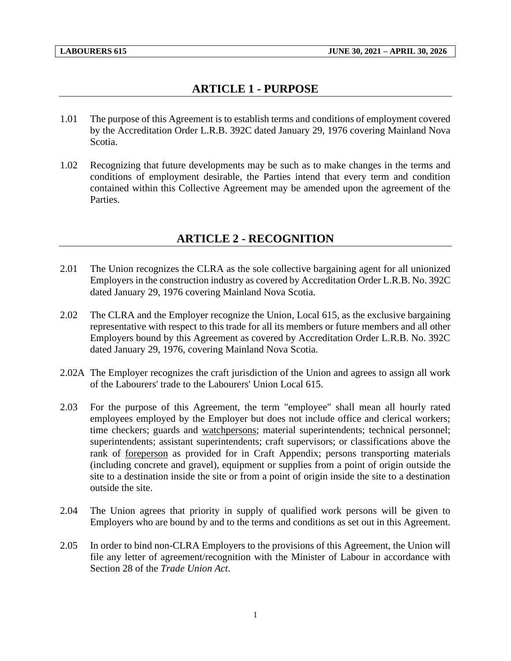## **ARTICLE 1 - PURPOSE**

- <span id="page-3-0"></span>1.01 The purpose of this Agreement is to establish terms and conditions of employment covered by the Accreditation Order L.R.B. 392C dated January 29, 1976 covering Mainland Nova Scotia.
- 1.02 Recognizing that future developments may be such as to make changes in the terms and conditions of employment desirable, the Parties intend that every term and condition contained within this Collective Agreement may be amended upon the agreement of the Parties.

## **ARTICLE 2 - RECOGNITION**

- <span id="page-3-1"></span>2.01 The Union recognizes the CLRA as the sole collective bargaining agent for all unionized Employers in the construction industry as covered by Accreditation Order L.R.B. No. 392C dated January 29, 1976 covering Mainland Nova Scotia.
- 2.02 The CLRA and the Employer recognize the Union, Local 615, as the exclusive bargaining representative with respect to this trade for all its members or future members and all other Employers bound by this Agreement as covered by Accreditation Order L.R.B. No. 392C dated January 29, 1976, covering Mainland Nova Scotia.
- 2.02A The Employer recognizes the craft jurisdiction of the Union and agrees to assign all work of the Labourers' trade to the Labourers' Union Local 615.
- 2.03 For the purpose of this Agreement, the term "employee" shall mean all hourly rated employees employed by the Employer but does not include office and clerical workers; time checkers; guards and watchpersons; material superintendents; technical personnel; superintendents; assistant superintendents; craft supervisors; or classifications above the rank of foreperson as provided for in Craft Appendix; persons transporting materials (including concrete and gravel), equipment or supplies from a point of origin outside the site to a destination inside the site or from a point of origin inside the site to a destination outside the site.
- 2.04 The Union agrees that priority in supply of qualified work persons will be given to Employers who are bound by and to the terms and conditions as set out in this Agreement.
- 2.05 In order to bind non-CLRA Employers to the provisions of this Agreement, the Union will file any letter of agreement/recognition with the Minister of Labour in accordance with Section 28 of the *Trade Union Act*.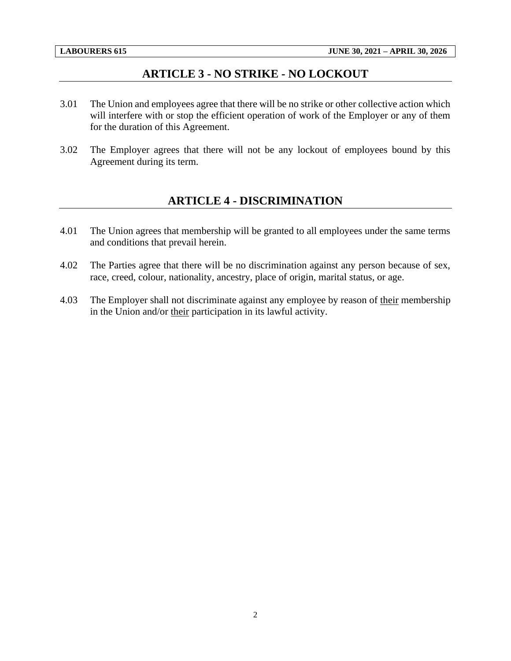## **ARTICLE 3 - NO STRIKE - NO LOCKOUT**

- <span id="page-4-0"></span>3.01 The Union and employees agree that there will be no strike or other collective action which will interfere with or stop the efficient operation of work of the Employer or any of them for the duration of this Agreement.
- <span id="page-4-1"></span>3.02 The Employer agrees that there will not be any lockout of employees bound by this Agreement during its term.

## **ARTICLE 4 - DISCRIMINATION**

- 4.01 The Union agrees that membership will be granted to all employees under the same terms and conditions that prevail herein.
- 4.02 The Parties agree that there will be no discrimination against any person because of sex, race, creed, colour, nationality, ancestry, place of origin, marital status, or age.
- 4.03 The Employer shall not discriminate against any employee by reason of their membership in the Union and/or their participation in its lawful activity.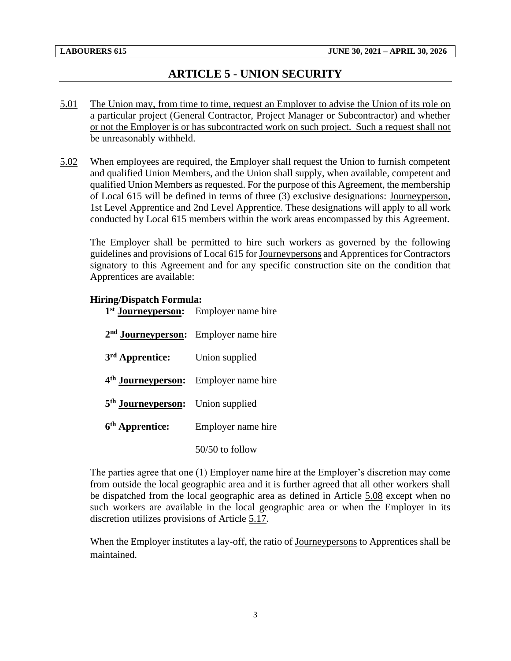## **ARTICLE 5 - UNION SECURITY**

- <span id="page-5-0"></span>5.01 The Union may, from time to time, request an Employer to advise the Union of its role on a particular project (General Contractor, Project Manager or Subcontractor) and whether or not the Employer is or has subcontracted work on such project. Such a request shall not be unreasonably withheld.
- 5.02 When employees are required, the Employer shall request the Union to furnish competent and qualified Union Members, and the Union shall supply, when available, competent and qualified Union Members as requested. For the purpose of this Agreement, the membership of Local 615 will be defined in terms of three (3) exclusive designations: Journeyperson, 1st Level Apprentice and 2nd Level Apprentice. These designations will apply to all work conducted by Local 615 members within the work areas encompassed by this Agreement.

The Employer shall be permitted to hire such workers as governed by the following guidelines and provisions of Local 615 for Journeypersons and Apprentices for Contractors signatory to this Agreement and for any specific construction site on the condition that Apprentices are available:

#### **Hiring/Dispatch Formula:**

| 1 <sup>st</sup> <b>Journeyperson:</b> Employer name hire |                    |
|----------------------------------------------------------|--------------------|
| 2 <sup>nd</sup> Journeyperson: Employer name hire        |                    |
| 3 <sup>rd</sup> Apprentice:                              | Union supplied     |
| 4 <sup>th</sup> Journeyperson: Employer name hire        |                    |
| 5 <sup>th</sup> Journeyperson: Union supplied            |                    |
| 6 <sup>th</sup> Apprentice:                              | Employer name hire |
|                                                          | $50/50$ to follow  |

The parties agree that one (1) Employer name hire at the Employer's discretion may come from outside the local geographic area and it is further agreed that all other workers shall be dispatched from the local geographic area as defined in Article 5.08 except when no such workers are available in the local geographic area or when the Employer in its discretion utilizes provisions of Article 5.17.

When the Employer institutes a lay-off, the ratio of Journeypersons to Apprentices shall be maintained.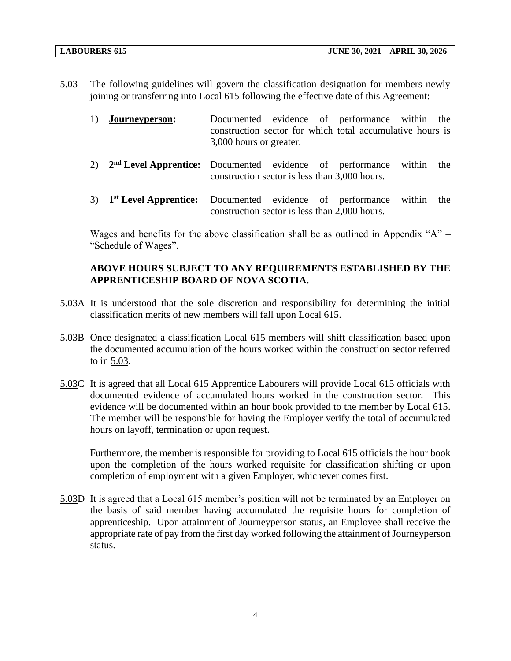5.03 The following guidelines will govern the classification designation for members newly joining or transferring into Local 615 following the effective date of this Agreement:

| 1) | Journeyperson: |                         |  | Documented evidence of performance within the             |  |
|----|----------------|-------------------------|--|-----------------------------------------------------------|--|
|    |                |                         |  | construction sector for which total accumulative hours is |  |
|    |                | 3,000 hours or greater. |  |                                                           |  |

- 2) 2<sup>nd</sup> Level Apprentice: Documented evidence of performance within the construction sector is less than 3,000 hours.
- 3) 1<sup>st</sup> Level Apprentice: Documented evidence of performance within the construction sector is less than 2,000 hours.

Wages and benefits for the above classification shall be as outlined in Appendix " $A$ " – "Schedule of Wages".

### **ABOVE HOURS SUBJECT TO ANY REQUIREMENTS ESTABLISHED BY THE APPRENTICESHIP BOARD OF NOVA SCOTIA.**

- 5.03A It is understood that the sole discretion and responsibility for determining the initial classification merits of new members will fall upon Local 615.
- 5.03B Once designated a classification Local 615 members will shift classification based upon the documented accumulation of the hours worked within the construction sector referred to in 5.03.
- 5.03C It is agreed that all Local 615 Apprentice Labourers will provide Local 615 officials with documented evidence of accumulated hours worked in the construction sector. This evidence will be documented within an hour book provided to the member by Local 615. The member will be responsible for having the Employer verify the total of accumulated hours on layoff, termination or upon request.

Furthermore, the member is responsible for providing to Local 615 officials the hour book upon the completion of the hours worked requisite for classification shifting or upon completion of employment with a given Employer, whichever comes first.

5.03D It is agreed that a Local 615 member's position will not be terminated by an Employer on the basis of said member having accumulated the requisite hours for completion of apprenticeship. Upon attainment of Journeyperson status, an Employee shall receive the appropriate rate of pay from the first day worked following the attainment of Journeyperson status.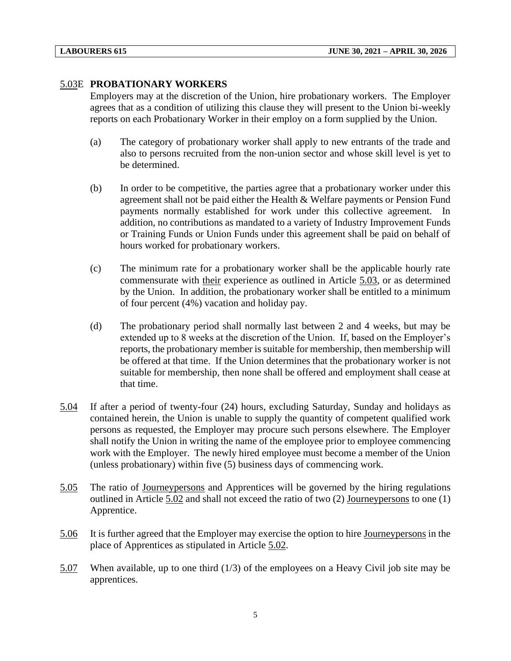#### 5.03E **PROBATIONARY WORKERS**

Employers may at the discretion of the Union, hire probationary workers. The Employer agrees that as a condition of utilizing this clause they will present to the Union bi-weekly reports on each Probationary Worker in their employ on a form supplied by the Union.

- (a) The category of probationary worker shall apply to new entrants of the trade and also to persons recruited from the non-union sector and whose skill level is yet to be determined.
- (b) In order to be competitive, the parties agree that a probationary worker under this agreement shall not be paid either the Health & Welfare payments or Pension Fund payments normally established for work under this collective agreement. In addition, no contributions as mandated to a variety of Industry Improvement Funds or Training Funds or Union Funds under this agreement shall be paid on behalf of hours worked for probationary workers.
- (c) The minimum rate for a probationary worker shall be the applicable hourly rate commensurate with their experience as outlined in Article 5.03, or as determined by the Union. In addition, the probationary worker shall be entitled to a minimum of four percent (4%) vacation and holiday pay.
- (d) The probationary period shall normally last between 2 and 4 weeks, but may be extended up to 8 weeks at the discretion of the Union. If, based on the Employer's reports, the probationary member is suitable for membership, then membership will be offered at that time. If the Union determines that the probationary worker is not suitable for membership, then none shall be offered and employment shall cease at that time.
- 5.04 If after a period of twenty-four (24) hours, excluding Saturday, Sunday and holidays as contained herein, the Union is unable to supply the quantity of competent qualified work persons as requested, the Employer may procure such persons elsewhere. The Employer shall notify the Union in writing the name of the employee prior to employee commencing work with the Employer. The newly hired employee must become a member of the Union (unless probationary) within five (5) business days of commencing work.
- 5.05 The ratio of Journeypersons and Apprentices will be governed by the hiring regulations outlined in Article 5.02 and shall not exceed the ratio of two (2) Journeypersons to one (1) Apprentice.
- 5.06 It is further agreed that the Employer may exercise the option to hire Journeypersons in the place of Apprentices as stipulated in Article 5.02.
- 5.07 When available, up to one third (1/3) of the employees on a Heavy Civil job site may be apprentices.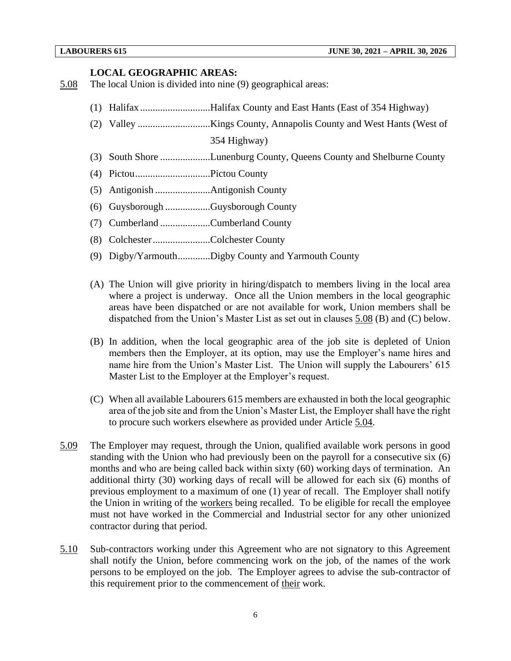#### **LOCAL GEOGRAPHIC AREAS:**

- 5.08 The local Union is divided into nine (9) geographical areas:
	- (1) Halifax ............................Halifax County and East Hants (East of 354 Highway)
	- (2) Valley .............................Kings County, Annapolis County and West Hants (West of 354 Highway)
	- (3) South Shore ....................Lunenburg County, Queens County and Shelburne County
	- (4) Pictou..............................Pictou County
	- (5) Antigonish ......................Antigonish County
	- (6) Guysborough ..................Guysborough County
	- (7) Cumberland ....................Cumberland County
	- (8) Colchester.......................Colchester County
	- (9) Digby/Yarmouth.............Digby County and Yarmouth County
	- (A) The Union will give priority in hiring/dispatch to members living in the local area where a project is underway. Once all the Union members in the local geographic areas have been dispatched or are not available for work, Union members shall be dispatched from the Union's Master List as set out in clauses 5.08 (B) and (C) below.
	- (B) In addition, when the local geographic area of the job site is depleted of Union members then the Employer, at its option, may use the Employer's name hires and name hire from the Union's Master List. The Union will supply the Labourers' 615 Master List to the Employer at the Employer's request.
	- (C) When all available Labourers 615 members are exhausted in both the local geographic area of the job site and from the Union's Master List, the Employer shall have the right to procure such workers elsewhere as provided under Article 5.04.
- 5.09 The Employer may request, through the Union, qualified available work persons in good standing with the Union who had previously been on the payroll for a consecutive six (6) months and who are being called back within sixty (60) working days of termination. An additional thirty (30) working days of recall will be allowed for each six (6) months of previous employment to a maximum of one (1) year of recall. The Employer shall notify the Union in writing of the workers being recalled. To be eligible for recall the employee must not have worked in the Commercial and Industrial sector for any other unionized contractor during that period.
- 5.10 Sub-contractors working under this Agreement who are not signatory to this Agreement shall notify the Union, before commencing work on the job, of the names of the work persons to be employed on the job. The Employer agrees to advise the sub-contractor of this requirement prior to the commencement of their work.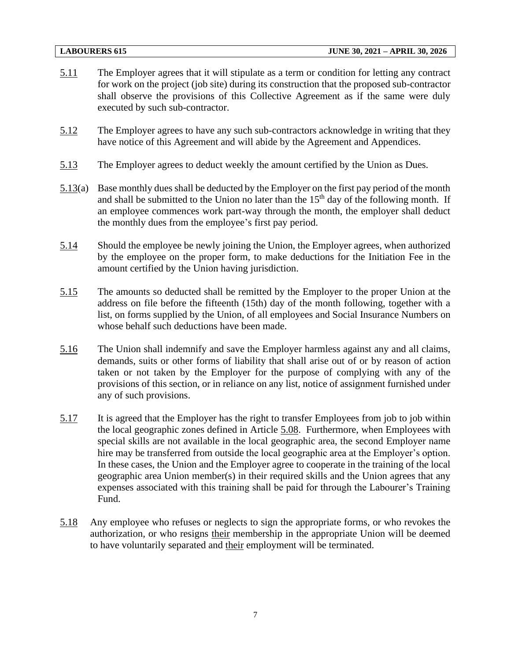- 5.11 The Employer agrees that it will stipulate as a term or condition for letting any contract for work on the project (job site) during its construction that the proposed sub-contractor shall observe the provisions of this Collective Agreement as if the same were duly executed by such sub-contractor.
- 5.12 The Employer agrees to have any such sub-contractors acknowledge in writing that they have notice of this Agreement and will abide by the Agreement and Appendices.
- 5.13 The Employer agrees to deduct weekly the amount certified by the Union as Dues.
- 5.13(a) Base monthly dues shall be deducted by the Employer on the first pay period of the month and shall be submitted to the Union no later than the  $15<sup>th</sup>$  day of the following month. If an employee commences work part-way through the month, the employer shall deduct the monthly dues from the employee's first pay period.
- 5.14 Should the employee be newly joining the Union, the Employer agrees, when authorized by the employee on the proper form, to make deductions for the Initiation Fee in the amount certified by the Union having jurisdiction.
- 5.15 The amounts so deducted shall be remitted by the Employer to the proper Union at the address on file before the fifteenth (15th) day of the month following, together with a list, on forms supplied by the Union, of all employees and Social Insurance Numbers on whose behalf such deductions have been made.
- 5.16 The Union shall indemnify and save the Employer harmless against any and all claims, demands, suits or other forms of liability that shall arise out of or by reason of action taken or not taken by the Employer for the purpose of complying with any of the provisions of this section, or in reliance on any list, notice of assignment furnished under any of such provisions.
- 5.17 It is agreed that the Employer has the right to transfer Employees from job to job within the local geographic zones defined in Article 5.08. Furthermore, when Employees with special skills are not available in the local geographic area, the second Employer name hire may be transferred from outside the local geographic area at the Employer's option. In these cases, the Union and the Employer agree to cooperate in the training of the local geographic area Union member(s) in their required skills and the Union agrees that any expenses associated with this training shall be paid for through the Labourer's Training Fund.
- 5.18 Any employee who refuses or neglects to sign the appropriate forms, or who revokes the authorization, or who resigns their membership in the appropriate Union will be deemed to have voluntarily separated and their employment will be terminated.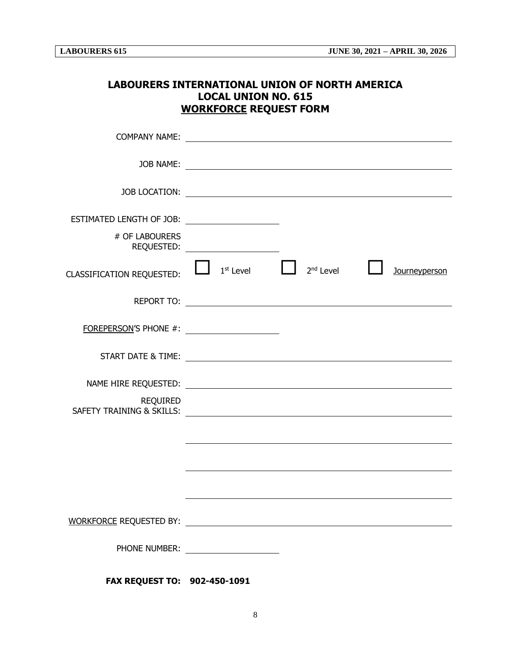|                                                | <b>LOCAL UNION NO. 615</b>           | LABOURERS INTERNATIONAL UNION OF NORTH AMERICA<br><b>WORKFORCE REQUEST FORM</b> |                      |
|------------------------------------------------|--------------------------------------|---------------------------------------------------------------------------------|----------------------|
|                                                |                                      |                                                                                 |                      |
|                                                |                                      |                                                                                 |                      |
|                                                |                                      |                                                                                 |                      |
|                                                |                                      |                                                                                 |                      |
| # OF LABOURERS                                 | REQUESTED: NAMEL AND REQUESTED:      |                                                                                 |                      |
| <b>CLASSIFICATION REQUESTED:</b>               | $1st$ Level                          | 2 <sup>nd</sup> Level                                                           | <b>Journeyperson</b> |
|                                                |                                      |                                                                                 |                      |
| FOREPERSON'S PHONE #: ________________________ |                                      |                                                                                 |                      |
|                                                |                                      |                                                                                 |                      |
|                                                |                                      |                                                                                 |                      |
| <b>REQUIRED</b>                                |                                      |                                                                                 |                      |
|                                                |                                      |                                                                                 |                      |
|                                                |                                      |                                                                                 |                      |
|                                                |                                      |                                                                                 |                      |
|                                                |                                      |                                                                                 |                      |
|                                                | PHONE NUMBER: ______________________ |                                                                                 |                      |
| FAX REQUEST TO: 902-450-1091                   |                                      |                                                                                 |                      |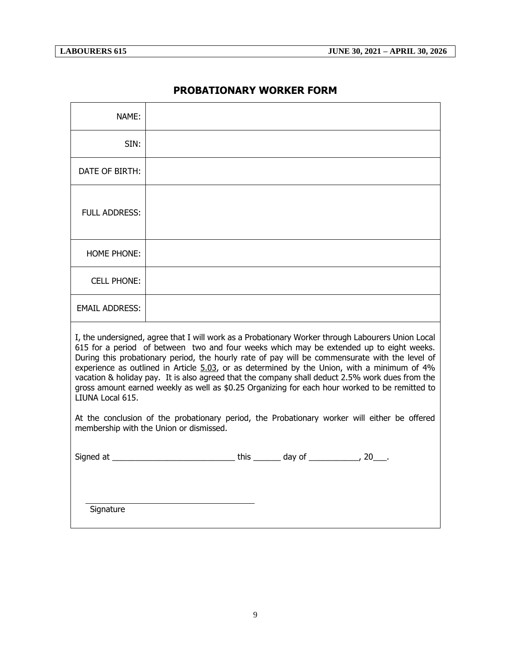## **PROBATIONARY WORKER FORM**

| NAME:                 |                                                                                                                                                                                                                                                                                                                                                                                                                                                                                                                                                                                                    |
|-----------------------|----------------------------------------------------------------------------------------------------------------------------------------------------------------------------------------------------------------------------------------------------------------------------------------------------------------------------------------------------------------------------------------------------------------------------------------------------------------------------------------------------------------------------------------------------------------------------------------------------|
| SIN:                  |                                                                                                                                                                                                                                                                                                                                                                                                                                                                                                                                                                                                    |
| DATE OF BIRTH:        |                                                                                                                                                                                                                                                                                                                                                                                                                                                                                                                                                                                                    |
| <b>FULL ADDRESS:</b>  |                                                                                                                                                                                                                                                                                                                                                                                                                                                                                                                                                                                                    |
| <b>HOME PHONE:</b>    |                                                                                                                                                                                                                                                                                                                                                                                                                                                                                                                                                                                                    |
| <b>CELL PHONE:</b>    |                                                                                                                                                                                                                                                                                                                                                                                                                                                                                                                                                                                                    |
| <b>EMAIL ADDRESS:</b> |                                                                                                                                                                                                                                                                                                                                                                                                                                                                                                                                                                                                    |
| LIUNA Local 615.      | I, the undersigned, agree that I will work as a Probationary Worker through Labourers Union Local<br>615 for a period of between two and four weeks which may be extended up to eight weeks.<br>During this probationary period, the hourly rate of pay will be commensurate with the level of<br>experience as outlined in Article 5.03, or as determined by the Union, with a minimum of 4%<br>vacation & holiday pay. It is also agreed that the company shall deduct 2.5% work dues from the<br>gross amount earned weekly as well as \$0.25 Organizing for each hour worked to be remitted to |
|                       | At the conclusion of the probationary period, the Probationary worker will either be offered<br>membership with the Union or dismissed.                                                                                                                                                                                                                                                                                                                                                                                                                                                            |
|                       |                                                                                                                                                                                                                                                                                                                                                                                                                                                                                                                                                                                                    |
|                       |                                                                                                                                                                                                                                                                                                                                                                                                                                                                                                                                                                                                    |
| Signature             |                                                                                                                                                                                                                                                                                                                                                                                                                                                                                                                                                                                                    |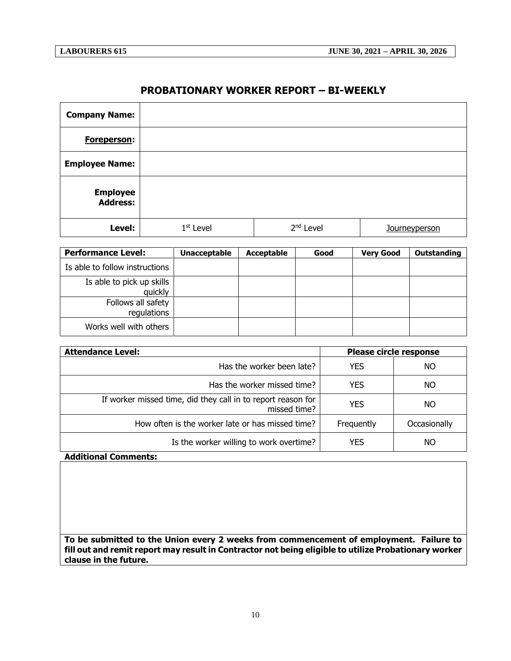#### **PROBATIONARY WORKER REPORT – BI-WEEKLY**

| <b>Company Name:</b>               |             |                       |               |
|------------------------------------|-------------|-----------------------|---------------|
| Foreperson:                        |             |                       |               |
| <b>Employee Name:</b>              |             |                       |               |
| <b>Employee</b><br><b>Address:</b> |             |                       |               |
| Level:                             | $1st$ Level | 2 <sup>nd</sup> Level | Journeyperson |

| <b>Performance Level:</b>            | <b>Unacceptable</b> | <b>Acceptable</b> | Good | <b>Very Good</b> | Outstanding |
|--------------------------------------|---------------------|-------------------|------|------------------|-------------|
| Is able to follow instructions       |                     |                   |      |                  |             |
| Is able to pick up skills<br>quickly |                     |                   |      |                  |             |
| Follows all safety<br>regulations    |                     |                   |      |                  |             |
| Works well with others               |                     |                   |      |                  |             |

| <b>Attendance Level:</b>                                                     | Please circle response |              |
|------------------------------------------------------------------------------|------------------------|--------------|
| Has the worker been late?                                                    | <b>YES</b>             | NO.          |
| Has the worker missed time?                                                  | <b>YES</b>             | NO.          |
| If worker missed time, did they call in to report reason for<br>missed time? | <b>YES</b>             | NO.          |
| How often is the worker late or has missed time?                             | Frequently             | Occasionally |
| Is the worker willing to work overtime?                                      | <b>YES</b>             | NO           |

**Additional Comments:**

**To be submitted to the Union every 2 weeks from commencement of employment. Failure to fill out and remit report may result in Contractor not being eligible to utilize Probationary worker clause in the future.**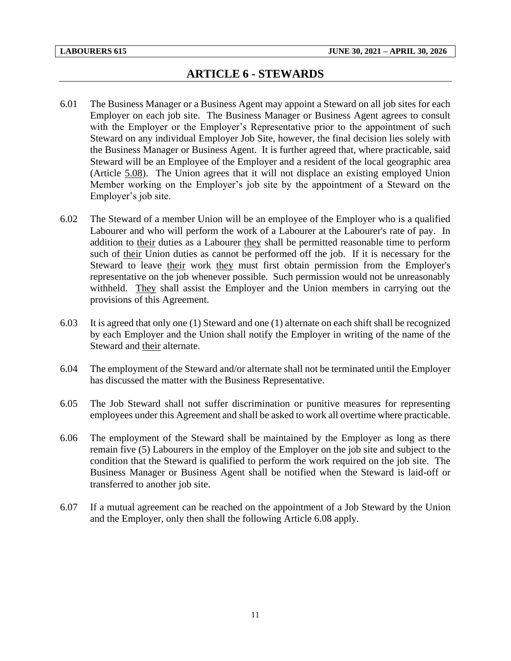## **ARTICLE 6 - STEWARDS**

- <span id="page-13-0"></span>6.01 The Business Manager or a Business Agent may appoint a Steward on all job sites for each Employer on each job site. The Business Manager or Business Agent agrees to consult with the Employer or the Employer's Representative prior to the appointment of such Steward on any individual Employer Job Site, however, the final decision lies solely with the Business Manager or Business Agent. It is further agreed that, where practicable, said Steward will be an Employee of the Employer and a resident of the local geographic area (Article 5.08). The Union agrees that it will not displace an existing employed Union Member working on the Employer's job site by the appointment of a Steward on the Employer's job site.
- 6.02 The Steward of a member Union will be an employee of the Employer who is a qualified Labourer and who will perform the work of a Labourer at the Labourer's rate of pay. In addition to their duties as a Labourer they shall be permitted reasonable time to perform such of their Union duties as cannot be performed off the job. If it is necessary for the Steward to leave their work they must first obtain permission from the Employer's representative on the job whenever possible. Such permission would not be unreasonably withheld. They shall assist the Employer and the Union members in carrying out the provisions of this Agreement.
- 6.03 It is agreed that only one (1) Steward and one (1) alternate on each shift shall be recognized by each Employer and the Union shall notify the Employer in writing of the name of the Steward and their alternate.
- 6.04 The employment of the Steward and/or alternate shall not be terminated until the Employer has discussed the matter with the Business Representative.
- 6.05 The Job Steward shall not suffer discrimination or punitive measures for representing employees under this Agreement and shall be asked to work all overtime where practicable.
- 6.06 The employment of the Steward shall be maintained by the Employer as long as there remain five (5) Labourers in the employ of the Employer on the job site and subject to the condition that the Steward is qualified to perform the work required on the job site. The Business Manager or Business Agent shall be notified when the Steward is laid-off or transferred to another job site.
- 6.07 If a mutual agreement can be reached on the appointment of a Job Steward by the Union and the Employer, only then shall the following Article 6.08 apply.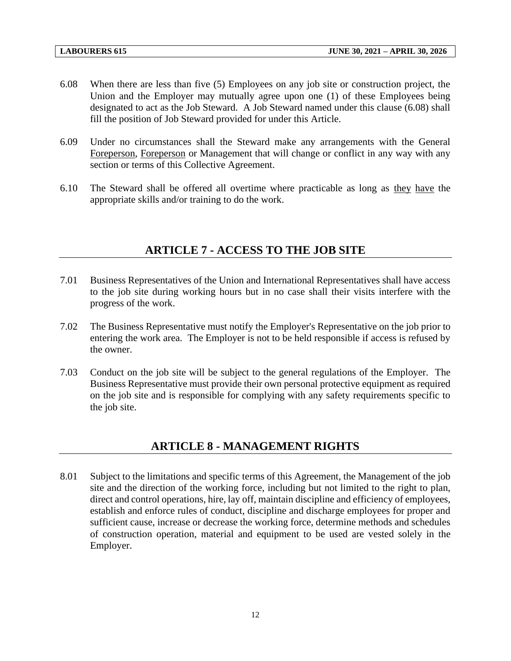- 6.08 When there are less than five (5) Employees on any job site or construction project, the Union and the Employer may mutually agree upon one (1) of these Employees being designated to act as the Job Steward. A Job Steward named under this clause (6.08) shall fill the position of Job Steward provided for under this Article.
- 6.09 Under no circumstances shall the Steward make any arrangements with the General Foreperson, Foreperson or Management that will change or conflict in any way with any section or terms of this Collective Agreement.
- <span id="page-14-0"></span>6.10 The Steward shall be offered all overtime where practicable as long as they have the appropriate skills and/or training to do the work.

## **ARTICLE 7 - ACCESS TO THE JOB SITE**

- 7.01 Business Representatives of the Union and International Representatives shall have access to the job site during working hours but in no case shall their visits interfere with the progress of the work.
- 7.02 The Business Representative must notify the Employer's Representative on the job prior to entering the work area. The Employer is not to be held responsible if access is refused by the owner.
- 7.03 Conduct on the job site will be subject to the general regulations of the Employer. The Business Representative must provide their own personal protective equipment as required on the job site and is responsible for complying with any safety requirements specific to the job site.

## **ARTICLE 8 - MANAGEMENT RIGHTS**

<span id="page-14-1"></span>8.01 Subject to the limitations and specific terms of this Agreement, the Management of the job site and the direction of the working force, including but not limited to the right to plan, direct and control operations, hire, lay off, maintain discipline and efficiency of employees, establish and enforce rules of conduct, discipline and discharge employees for proper and sufficient cause, increase or decrease the working force, determine methods and schedules of construction operation, material and equipment to be used are vested solely in the Employer.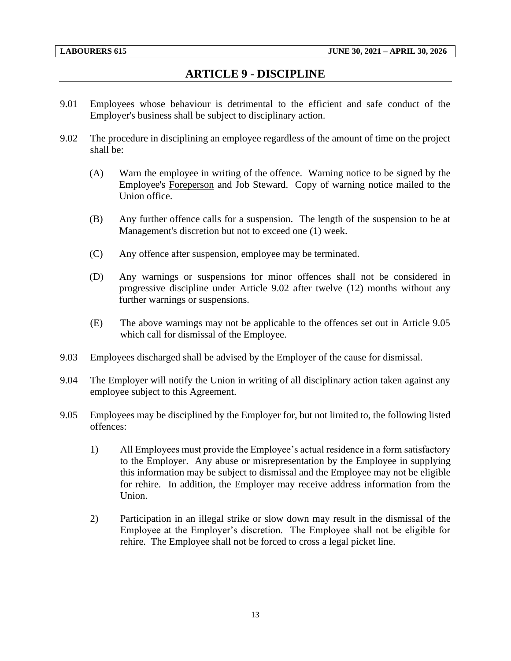## **ARTICLE 9 - DISCIPLINE**

- <span id="page-15-0"></span>9.01 Employees whose behaviour is detrimental to the efficient and safe conduct of the Employer's business shall be subject to disciplinary action.
- 9.02 The procedure in disciplining an employee regardless of the amount of time on the project shall be:
	- (A) Warn the employee in writing of the offence. Warning notice to be signed by the Employee's Foreperson and Job Steward. Copy of warning notice mailed to the Union office.
	- (B) Any further offence calls for a suspension. The length of the suspension to be at Management's discretion but not to exceed one (1) week.
	- (C) Any offence after suspension, employee may be terminated.
	- (D) Any warnings or suspensions for minor offences shall not be considered in progressive discipline under Article 9.02 after twelve (12) months without any further warnings or suspensions.
	- (E) The above warnings may not be applicable to the offences set out in Article 9.05 which call for dismissal of the Employee.
- 9.03 Employees discharged shall be advised by the Employer of the cause for dismissal.
- 9.04 The Employer will notify the Union in writing of all disciplinary action taken against any employee subject to this Agreement.
- 9.05 Employees may be disciplined by the Employer for, but not limited to, the following listed offences:
	- 1) All Employees must provide the Employee's actual residence in a form satisfactory to the Employer. Any abuse or misrepresentation by the Employee in supplying this information may be subject to dismissal and the Employee may not be eligible for rehire. In addition, the Employer may receive address information from the Union.
	- 2) Participation in an illegal strike or slow down may result in the dismissal of the Employee at the Employer's discretion. The Employee shall not be eligible for rehire. The Employee shall not be forced to cross a legal picket line.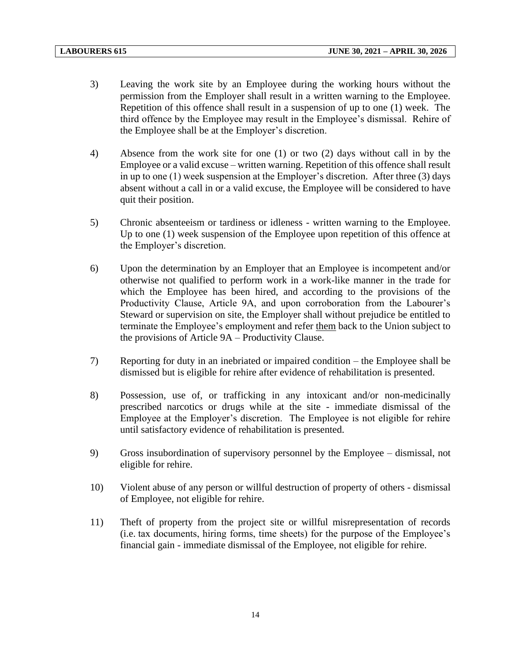- 3) Leaving the work site by an Employee during the working hours without the permission from the Employer shall result in a written warning to the Employee. Repetition of this offence shall result in a suspension of up to one (1) week. The third offence by the Employee may result in the Employee's dismissal. Rehire of the Employee shall be at the Employer's discretion.
- 4) Absence from the work site for one (1) or two (2) days without call in by the Employee or a valid excuse – written warning. Repetition of this offence shall result in up to one (1) week suspension at the Employer's discretion. After three (3) days absent without a call in or a valid excuse, the Employee will be considered to have quit their position.
- 5) Chronic absenteeism or tardiness or idleness written warning to the Employee. Up to one (1) week suspension of the Employee upon repetition of this offence at the Employer's discretion.
- 6) Upon the determination by an Employer that an Employee is incompetent and/or otherwise not qualified to perform work in a work-like manner in the trade for which the Employee has been hired, and according to the provisions of the Productivity Clause, Article 9A, and upon corroboration from the Labourer's Steward or supervision on site, the Employer shall without prejudice be entitled to terminate the Employee's employment and refer them back to the Union subject to the provisions of Article 9A – Productivity Clause.
- 7) Reporting for duty in an inebriated or impaired condition the Employee shall be dismissed but is eligible for rehire after evidence of rehabilitation is presented.
- 8) Possession, use of, or trafficking in any intoxicant and/or non-medicinally prescribed narcotics or drugs while at the site - immediate dismissal of the Employee at the Employer's discretion. The Employee is not eligible for rehire until satisfactory evidence of rehabilitation is presented.
- 9) Gross insubordination of supervisory personnel by the Employee dismissal, not eligible for rehire.
- 10) Violent abuse of any person or willful destruction of property of others dismissal of Employee, not eligible for rehire.
- 11) Theft of property from the project site or willful misrepresentation of records (i.e. tax documents, hiring forms, time sheets) for the purpose of the Employee's financial gain - immediate dismissal of the Employee, not eligible for rehire.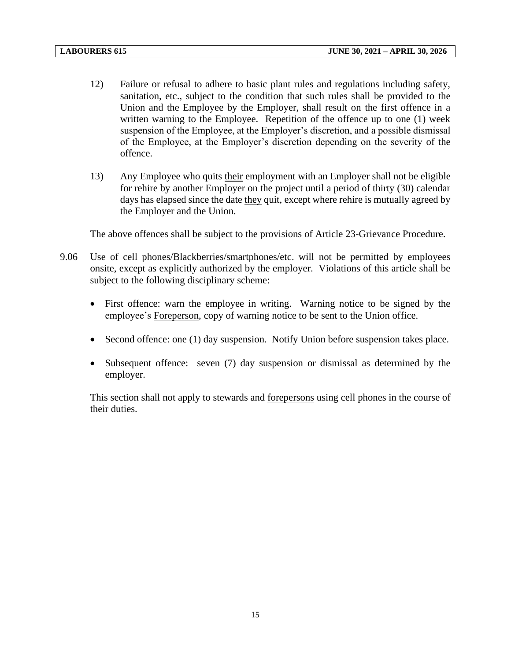- 12) Failure or refusal to adhere to basic plant rules and regulations including safety, sanitation, etc., subject to the condition that such rules shall be provided to the Union and the Employee by the Employer, shall result on the first offence in a written warning to the Employee. Repetition of the offence up to one (1) week suspension of the Employee, at the Employer's discretion, and a possible dismissal of the Employee, at the Employer's discretion depending on the severity of the offence.
- 13) Any Employee who quits their employment with an Employer shall not be eligible for rehire by another Employer on the project until a period of thirty (30) calendar days has elapsed since the date they quit, except where rehire is mutually agreed by the Employer and the Union.

The above offences shall be subject to the provisions of Article 23-Grievance Procedure.

- 9.06 Use of cell phones/Blackberries/smartphones/etc. will not be permitted by employees onsite, except as explicitly authorized by the employer. Violations of this article shall be subject to the following disciplinary scheme:
	- First offence: warn the employee in writing. Warning notice to be signed by the employee's Foreperson, copy of warning notice to be sent to the Union office.
	- Second offence: one (1) day suspension. Notify Union before suspension takes place.
	- Subsequent offence: seven (7) day suspension or dismissal as determined by the employer.

This section shall not apply to stewards and forepersons using cell phones in the course of their duties.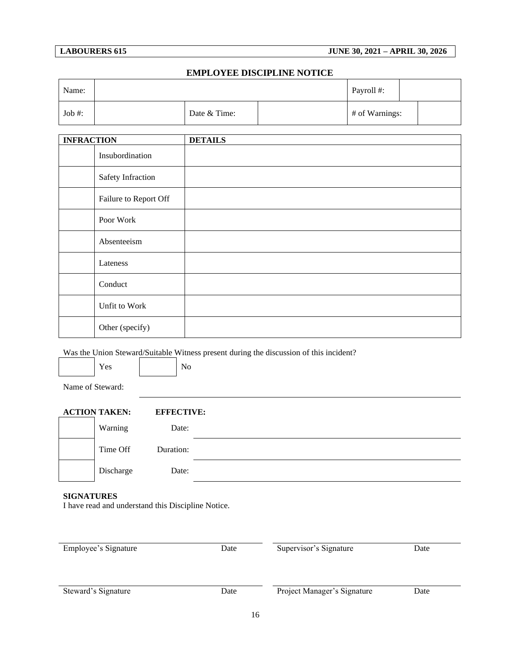#### **LABOURERS 615 JUNE 30, 2021 – APRIL 30, 2026**

#### **EMPLOYEE DISCIPLINE NOTICE**

| Name:  |  |              |  | Payroll #:     |  |
|--------|--|--------------|--|----------------|--|
| Job #: |  | Date & Time: |  | # of Warnings: |  |

| <b>INFRACTION</b> |                       | <b>DETAILS</b> |
|-------------------|-----------------------|----------------|
|                   | Insubordination       |                |
|                   | Safety Infraction     |                |
|                   | Failure to Report Off |                |
|                   | Poor Work             |                |
|                   | Absenteeism           |                |
|                   | Lateness              |                |
|                   | Conduct               |                |
|                   | Unfit to Work         |                |
|                   | Other (specify)       |                |

Was the Union Steward/Suitable Witness present during the discussion of this incident?

| $\mathbf{e}$<br>ັ |  |
|-------------------|--|
|                   |  |

Name of Steward:

| <b>ACTION TAKEN:</b> | <b>EFFECTIVE:</b> |  |
|----------------------|-------------------|--|
| Warning              | Date:             |  |
| Time Off             | Duration:         |  |
| Discharge            | Date:             |  |

#### **SIGNATURES**

I have read and understand this Discipline Notice.

| Employee's Signature<br>Date |      | Supervisor's Signature      | Date |
|------------------------------|------|-----------------------------|------|
| Steward's Signature          | Date | Project Manager's Signature | Date |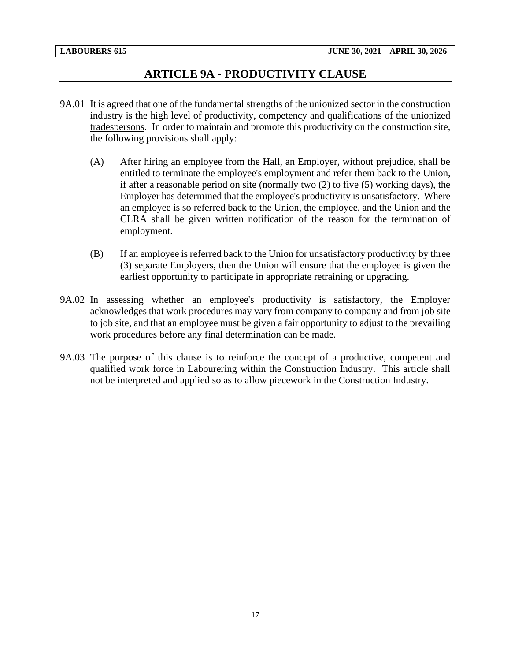## **ARTICLE 9A - PRODUCTIVITY CLAUSE**

- <span id="page-19-0"></span>9A.01 It is agreed that one of the fundamental strengths of the unionized sector in the construction industry is the high level of productivity, competency and qualifications of the unionized tradespersons. In order to maintain and promote this productivity on the construction site, the following provisions shall apply:
	- (A) After hiring an employee from the Hall, an Employer, without prejudice, shall be entitled to terminate the employee's employment and refer them back to the Union, if after a reasonable period on site (normally two (2) to five (5) working days), the Employer has determined that the employee's productivity is unsatisfactory. Where an employee is so referred back to the Union, the employee, and the Union and the CLRA shall be given written notification of the reason for the termination of employment.
	- (B) If an employee is referred back to the Union for unsatisfactory productivity by three (3) separate Employers, then the Union will ensure that the employee is given the earliest opportunity to participate in appropriate retraining or upgrading.
- 9A.02 In assessing whether an employee's productivity is satisfactory, the Employer acknowledges that work procedures may vary from company to company and from job site to job site, and that an employee must be given a fair opportunity to adjust to the prevailing work procedures before any final determination can be made.
- 9A.03 The purpose of this clause is to reinforce the concept of a productive, competent and qualified work force in Labourering within the Construction Industry. This article shall not be interpreted and applied so as to allow piecework in the Construction Industry.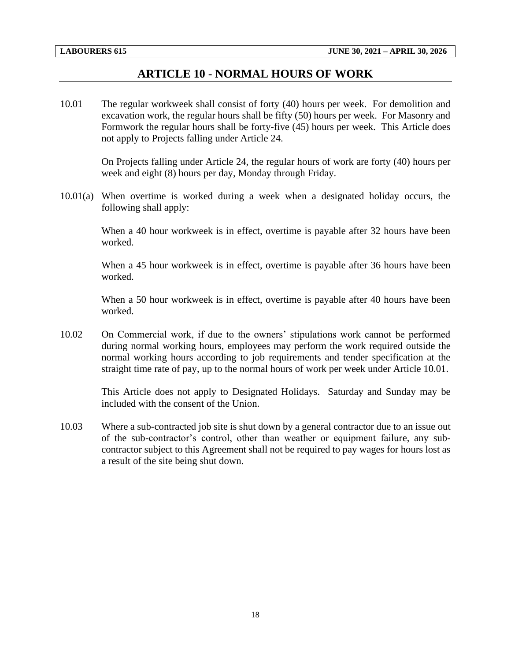### **ARTICLE 10 - NORMAL HOURS OF WORK**

<span id="page-20-0"></span>10.01 The regular workweek shall consist of forty (40) hours per week. For demolition and excavation work, the regular hours shall be fifty (50) hours per week. For Masonry and Formwork the regular hours shall be forty-five (45) hours per week. This Article does not apply to Projects falling under Article 24.

> On Projects falling under Article 24, the regular hours of work are forty (40) hours per week and eight (8) hours per day, Monday through Friday.

10.01(a) When overtime is worked during a week when a designated holiday occurs, the following shall apply:

> When a 40 hour workweek is in effect, overtime is payable after 32 hours have been worked.

> When a 45 hour workweek is in effect, overtime is payable after 36 hours have been worked.

> When a 50 hour workweek is in effect, overtime is payable after 40 hours have been worked.

10.02 On Commercial work, if due to the owners' stipulations work cannot be performed during normal working hours, employees may perform the work required outside the normal working hours according to job requirements and tender specification at the straight time rate of pay, up to the normal hours of work per week under Article 10.01.

> This Article does not apply to Designated Holidays. Saturday and Sunday may be included with the consent of the Union.

10.03 Where a sub-contracted job site is shut down by a general contractor due to an issue out of the sub-contractor's control, other than weather or equipment failure, any subcontractor subject to this Agreement shall not be required to pay wages for hours lost as a result of the site being shut down.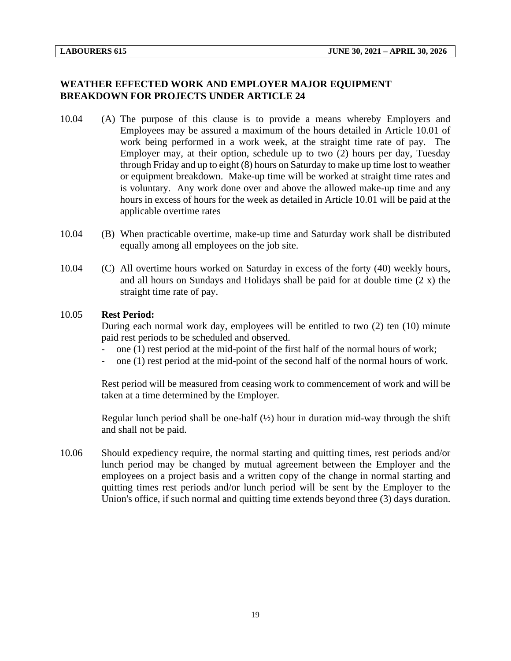#### **WEATHER EFFECTED WORK AND EMPLOYER MAJOR EQUIPMENT BREAKDOWN FOR PROJECTS UNDER ARTICLE 24**

- 10.04 (A) The purpose of this clause is to provide a means whereby Employers and Employees may be assured a maximum of the hours detailed in Article 10.01 of work being performed in a work week, at the straight time rate of pay. The Employer may, at their option, schedule up to two (2) hours per day, Tuesday through Friday and up to eight (8) hours on Saturday to make up time lost to weather or equipment breakdown. Make-up time will be worked at straight time rates and is voluntary. Any work done over and above the allowed make-up time and any hours in excess of hours for the week as detailed in Article 10.01 will be paid at the applicable overtime rates
- 10.04 (B) When practicable overtime, make-up time and Saturday work shall be distributed equally among all employees on the job site.
- 10.04 (C) All overtime hours worked on Saturday in excess of the forty (40) weekly hours, and all hours on Sundays and Holidays shall be paid for at double time (2 x) the straight time rate of pay.

#### 10.05 **Rest Period:**

During each normal work day, employees will be entitled to two (2) ten (10) minute paid rest periods to be scheduled and observed.

- one (1) rest period at the mid-point of the first half of the normal hours of work;
- one (1) rest period at the mid-point of the second half of the normal hours of work.

Rest period will be measured from ceasing work to commencement of work and will be taken at a time determined by the Employer.

Regular lunch period shall be one-half  $(\frac{1}{2})$  hour in duration mid-way through the shift and shall not be paid.

10.06 Should expediency require, the normal starting and quitting times, rest periods and/or lunch period may be changed by mutual agreement between the Employer and the employees on a project basis and a written copy of the change in normal starting and quitting times rest periods and/or lunch period will be sent by the Employer to the Union's office, if such normal and quitting time extends beyond three (3) days duration.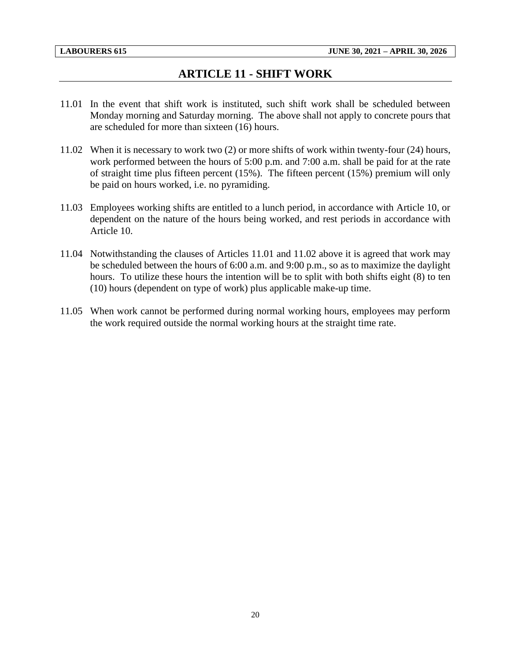## **ARTICLE 11 - SHIFT WORK**

- <span id="page-22-0"></span>11.01 In the event that shift work is instituted, such shift work shall be scheduled between Monday morning and Saturday morning. The above shall not apply to concrete pours that are scheduled for more than sixteen (16) hours.
- 11.02 When it is necessary to work two (2) or more shifts of work within twenty-four (24) hours, work performed between the hours of 5:00 p.m. and 7:00 a.m. shall be paid for at the rate of straight time plus fifteen percent (15%). The fifteen percent (15%) premium will only be paid on hours worked, i.e. no pyramiding.
- 11.03 Employees working shifts are entitled to a lunch period, in accordance with Article 10, or dependent on the nature of the hours being worked, and rest periods in accordance with Article 10.
- 11.04 Notwithstanding the clauses of Articles 11.01 and 11.02 above it is agreed that work may be scheduled between the hours of 6:00 a.m. and 9:00 p.m., so as to maximize the daylight hours. To utilize these hours the intention will be to split with both shifts eight (8) to ten (10) hours (dependent on type of work) plus applicable make-up time.
- 11.05 When work cannot be performed during normal working hours, employees may perform the work required outside the normal working hours at the straight time rate.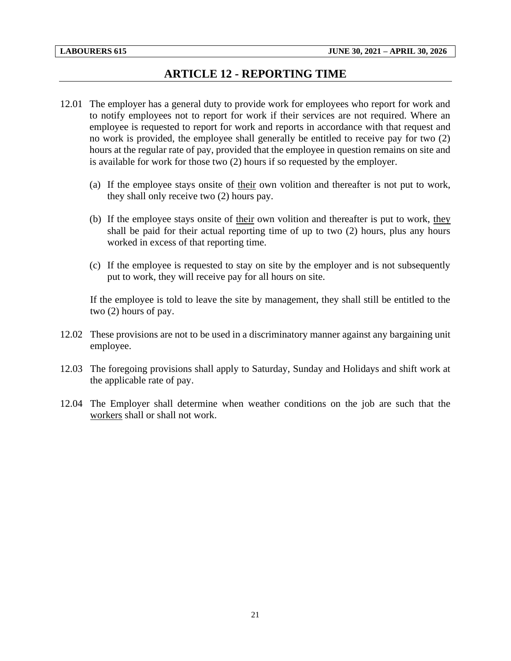## **ARTICLE 12 - REPORTING TIME**

- <span id="page-23-0"></span>12.01 The employer has a general duty to provide work for employees who report for work and to notify employees not to report for work if their services are not required. Where an employee is requested to report for work and reports in accordance with that request and no work is provided, the employee shall generally be entitled to receive pay for two (2) hours at the regular rate of pay, provided that the employee in question remains on site and is available for work for those two (2) hours if so requested by the employer.
	- (a) If the employee stays onsite of their own volition and thereafter is not put to work, they shall only receive two (2) hours pay.
	- (b) If the employee stays onsite of their own volition and thereafter is put to work, they shall be paid for their actual reporting time of up to two (2) hours, plus any hours worked in excess of that reporting time.
	- (c) If the employee is requested to stay on site by the employer and is not subsequently put to work, they will receive pay for all hours on site.

If the employee is told to leave the site by management, they shall still be entitled to the two (2) hours of pay.

- 12.02 These provisions are not to be used in a discriminatory manner against any bargaining unit employee.
- 12.03 The foregoing provisions shall apply to Saturday, Sunday and Holidays and shift work at the applicable rate of pay.
- 12.04 The Employer shall determine when weather conditions on the job are such that the workers shall or shall not work.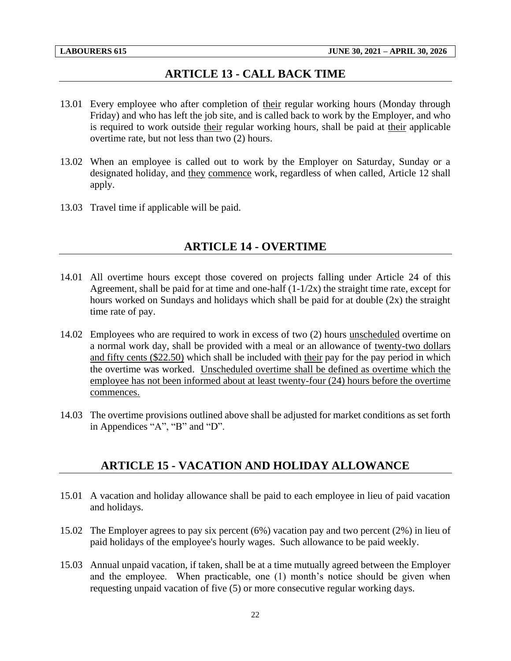#### **ARTICLE 13 - CALL BACK TIME**

- <span id="page-24-0"></span>13.01 Every employee who after completion of their regular working hours (Monday through Friday) and who has left the job site, and is called back to work by the Employer, and who is required to work outside their regular working hours, shall be paid at their applicable overtime rate, but not less than two (2) hours.
- 13.02 When an employee is called out to work by the Employer on Saturday, Sunday or a designated holiday, and they commence work, regardless of when called, Article 12 shall apply.
- <span id="page-24-1"></span>13.03 Travel time if applicable will be paid.

#### **ARTICLE 14 - OVERTIME**

- 14.01 All overtime hours except those covered on projects falling under Article 24 of this Agreement, shall be paid for at time and one-half  $(1-1/2x)$  the straight time rate, except for hours worked on Sundays and holidays which shall be paid for at double (2x) the straight time rate of pay.
- 14.02 Employees who are required to work in excess of two (2) hours unscheduled overtime on a normal work day, shall be provided with a meal or an allowance of twenty-two dollars and fifty cents (\$22.50) which shall be included with their pay for the pay period in which the overtime was worked. Unscheduled overtime shall be defined as overtime which the employee has not been informed about at least twenty-four (24) hours before the overtime commences.
- <span id="page-24-2"></span>14.03 The overtime provisions outlined above shall be adjusted for market conditions as set forth in Appendices "A", "B" and "D".

#### **ARTICLE 15 - VACATION AND HOLIDAY ALLOWANCE**

- 15.01 A vacation and holiday allowance shall be paid to each employee in lieu of paid vacation and holidays.
- 15.02 The Employer agrees to pay six percent (6%) vacation pay and two percent (2%) in lieu of paid holidays of the employee's hourly wages. Such allowance to be paid weekly.
- 15.03 Annual unpaid vacation, if taken, shall be at a time mutually agreed between the Employer and the employee. When practicable, one (1) month's notice should be given when requesting unpaid vacation of five (5) or more consecutive regular working days.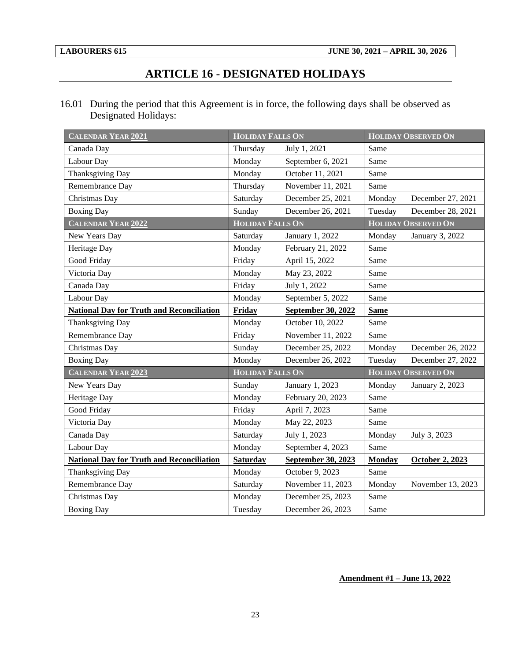## **ARTICLE 16 - DESIGNATED HOLIDAYS**

<span id="page-25-0"></span>16.01 During the period that this Agreement is in force, the following days shall be observed as Designated Holidays:

| <b>CALENDAR YEAR 2021</b>                        | <b>HOLIDAY FALLS ON</b> |                    |               | <b>HOLIDAY OBSERVED ON</b> |
|--------------------------------------------------|-------------------------|--------------------|---------------|----------------------------|
| Canada Day                                       | Thursday                | July 1, 2021       | Same          |                            |
| Labour Day                                       | Monday                  | September 6, 2021  | Same          |                            |
| Thanksgiving Day                                 | Monday                  | October 11, 2021   | Same          |                            |
| Remembrance Day                                  | Thursday                | November 11, 2021  | Same          |                            |
| Christmas Day                                    | Saturday                | December 25, 2021  | Monday        | December 27, 2021          |
| <b>Boxing Day</b>                                | Sunday                  | December 26, 2021  | Tuesday       | December 28, 2021          |
| <b>CALENDAR YEAR 2022</b>                        | <b>HOLIDAY FALLS ON</b> |                    |               | <b>HOLIDAY OBSERVED ON</b> |
| New Years Day                                    | Saturday                | January 1, 2022    | Monday        | January 3, 2022            |
| Heritage Day                                     | Monday                  | February 21, 2022  | Same          |                            |
| Good Friday                                      | Friday                  | April 15, 2022     | Same          |                            |
| Victoria Day                                     | Monday                  | May 23, 2022       | Same          |                            |
| Canada Day                                       | Friday                  | July 1, 2022       | Same          |                            |
| Labour Day                                       | Monday                  | September 5, 2022  | Same          |                            |
| <b>National Day for Truth and Reconciliation</b> | Friday                  | September 30, 2022 | <b>Same</b>   |                            |
| Thanksgiving Day                                 | Monday                  | October 10, 2022   | Same          |                            |
| Remembrance Day                                  | Friday                  | November 11, 2022  | Same          |                            |
| Christmas Day                                    | Sunday                  | December 25, 2022  | Monday        | December 26, 2022          |
| <b>Boxing Day</b>                                | Monday                  | December 26, 2022  | Tuesday       | December 27, 2022          |
| <b>CALENDAR YEAR 2023</b>                        | <b>HOLIDAY FALLS ON</b> |                    |               | <b>HOLIDAY OBSERVED ON</b> |
| New Years Day                                    | Sunday                  | January 1, 2023    | Monday        | January 2, 2023            |
| Heritage Day                                     | Monday                  | February 20, 2023  | Same          |                            |
| Good Friday                                      | Friday                  | April 7, 2023      | Same          |                            |
| Victoria Day                                     | Monday                  | May 22, 2023       | Same          |                            |
| Canada Day                                       | Saturday                | July 1, 2023       | Monday        | July 3, 2023               |
| Labour Day                                       | Monday                  | September 4, 2023  | Same          |                            |
| <b>National Day for Truth and Reconciliation</b> | <b>Saturday</b>         | September 30, 2023 | <b>Monday</b> | October 2, 2023            |
| Thanksgiving Day                                 | Monday                  | October 9, 2023    | Same          |                            |
| Remembrance Day                                  | Saturday                | November 11, 2023  | Monday        | November 13, 2023          |
| Christmas Day                                    | Monday                  | December 25, 2023  | Same          |                            |
| <b>Boxing Day</b>                                | Tuesday                 | December 26, 2023  | Same          |                            |

#### **Amendment #1 – June 13, 2022**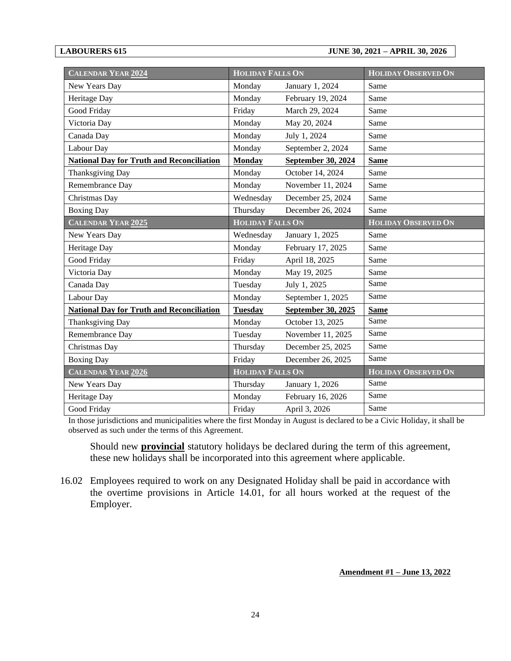#### **LABOURERS 615 JUNE 30, 2021 – APRIL 30, 2026**

| <b>CALENDAR YEAR 2024</b>                        | <b>HOLIDAY FALLS ON</b> |                           | <b>HOLIDAY OBSERVED ON</b> |
|--------------------------------------------------|-------------------------|---------------------------|----------------------------|
| New Years Day                                    | Monday                  | January 1, 2024           | Same                       |
| Heritage Day                                     | Monday                  | February 19, 2024         | Same                       |
| Good Friday                                      | Friday                  | March 29, 2024            | Same                       |
| Victoria Day                                     | Monday                  | May 20, 2024              | Same                       |
| Canada Day                                       | Monday                  | July 1, 2024              | Same                       |
| Labour Day                                       | Monday                  | September 2, 2024         | Same                       |
| <b>National Day for Truth and Reconciliation</b> | <b>Monday</b>           | <b>September 30, 2024</b> | <b>Same</b>                |
| <b>Thanksgiving Day</b>                          | Monday                  | October 14, 2024          | Same                       |
| Remembrance Day                                  | Monday                  | November 11, 2024         | Same                       |
| Christmas Day                                    | Wednesday               | December 25, 2024         | Same                       |
| <b>Boxing Day</b>                                | Thursday                | December 26, 2024         | Same                       |
| <b>CALENDAR YEAR 2025</b>                        | <b>HOLIDAY FALLS ON</b> |                           | <b>HOLIDAY OBSERVED ON</b> |
| New Years Day                                    | Wednesday               | January 1, 2025           | Same                       |
| Heritage Day                                     | Monday                  | February 17, 2025         | Same                       |
| Good Friday                                      | Friday                  | April 18, 2025            | Same                       |
| Victoria Day                                     | Monday                  | May 19, 2025              | Same                       |
| Canada Day                                       | Tuesday                 | July 1, 2025              | Same                       |
| Labour Day                                       | Monday                  | September 1, 2025         | Same                       |
| <b>National Day for Truth and Reconciliation</b> | <b>Tuesday</b>          | September 30, 2025        | <b>Same</b>                |
| <b>Thanksgiving Day</b>                          | Monday                  | October 13, 2025          | Same                       |
| Remembrance Day                                  | Tuesday                 | November 11, 2025         | Same                       |
| Christmas Day                                    | Thursday                | December 25, 2025         | Same                       |
| <b>Boxing Day</b>                                | Friday                  | December 26, 2025         | Same                       |
| <b>CALENDAR YEAR 2026</b>                        | <b>HOLIDAY FALLS ON</b> |                           | <b>HOLIDAY OBSERVED ON</b> |
| New Years Day                                    | Thursday                | January 1, 2026           | Same                       |
| Heritage Day                                     | Monday                  | February 16, 2026         | Same                       |
| Good Friday                                      | Friday                  | April 3, 2026             | Same                       |

In those jurisdictions and municipalities where the first Monday in August is declared to be a Civic Holiday, it shall be observed as such under the terms of this Agreement.

Should new **provincial** statutory holidays be declared during the term of this agreement, these new holidays shall be incorporated into this agreement where applicable.

16.02 Employees required to work on any Designated Holiday shall be paid in accordance with the overtime provisions in Article 14.01, for all hours worked at the request of the Employer.

#### **Amendment #1 – June 13, 2022**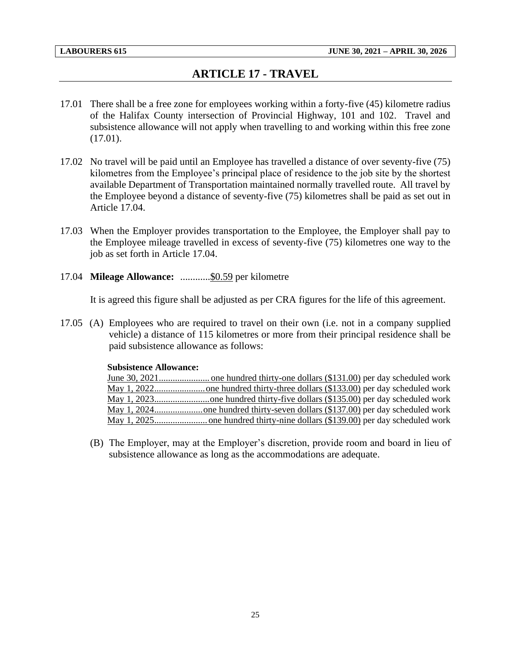## **ARTICLE 17 - TRAVEL**

- <span id="page-27-0"></span>17.01 There shall be a free zone for employees working within a forty-five (45) kilometre radius of the Halifax County intersection of Provincial Highway, 101 and 102. Travel and subsistence allowance will not apply when travelling to and working within this free zone (17.01).
- 17.02 No travel will be paid until an Employee has travelled a distance of over seventy-five (75) kilometres from the Employee's principal place of residence to the job site by the shortest available Department of Transportation maintained normally travelled route. All travel by the Employee beyond a distance of seventy-five (75) kilometres shall be paid as set out in Article 17.04.
- 17.03 When the Employer provides transportation to the Employee, the Employer shall pay to the Employee mileage travelled in excess of seventy-five (75) kilometres one way to the job as set forth in Article 17.04.
- 17.04 **Mileage Allowance:** ............\$0.59 per kilometre

It is agreed this figure shall be adjusted as per CRA figures for the life of this agreement.

17.05 (A) Employees who are required to travel on their own (i.e. not in a company supplied vehicle) a distance of 115 kilometres or more from their principal residence shall be paid subsistence allowance as follows:

#### **Subsistence Allowance:**

(B) The Employer, may at the Employer's discretion, provide room and board in lieu of subsistence allowance as long as the accommodations are adequate.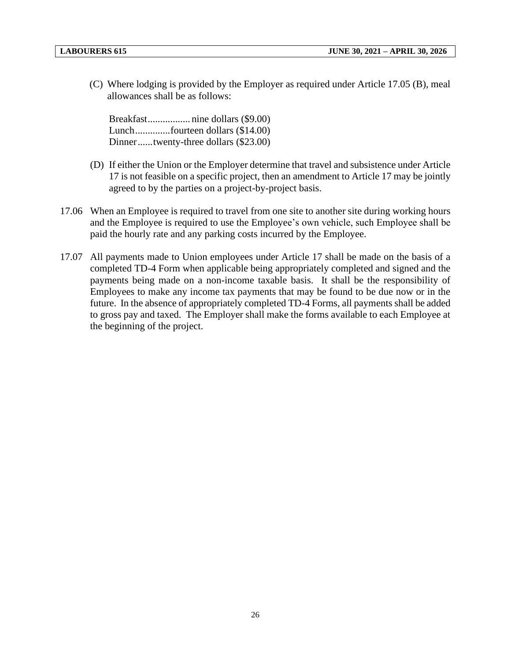(C) Where lodging is provided by the Employer as required under Article 17.05 (B), meal allowances shall be as follows:

Breakfast................. nine dollars (\$9.00) Lunch..............fourteen dollars (\$14.00) Dinner......twenty-three dollars (\$23.00)

- (D) If either the Union or the Employer determine that travel and subsistence under Article 17 is not feasible on a specific project, then an amendment to Article 17 may be jointly agreed to by the parties on a project-by-project basis.
- 17.06 When an Employee is required to travel from one site to another site during working hours and the Employee is required to use the Employee's own vehicle, such Employee shall be paid the hourly rate and any parking costs incurred by the Employee.
- 17.07 All payments made to Union employees under Article 17 shall be made on the basis of a completed TD-4 Form when applicable being appropriately completed and signed and the payments being made on a non-income taxable basis. It shall be the responsibility of Employees to make any income tax payments that may be found to be due now or in the future. In the absence of appropriately completed TD-4 Forms, all payments shall be added to gross pay and taxed. The Employer shall make the forms available to each Employee at the beginning of the project.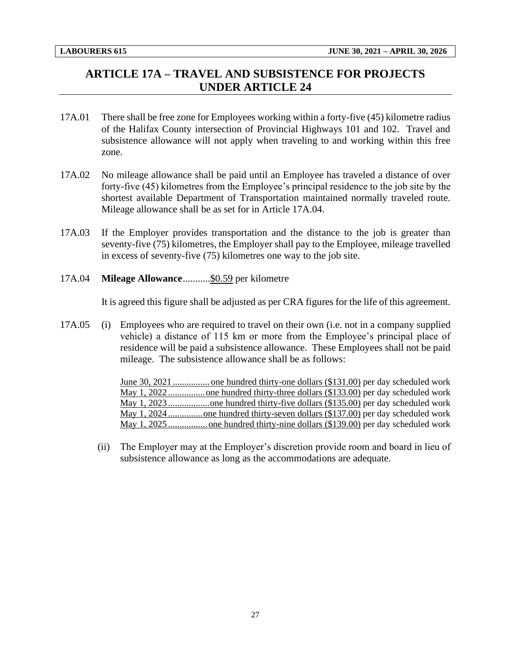## <span id="page-29-0"></span>**ARTICLE 17A – TRAVEL AND SUBSISTENCE FOR PROJECTS UNDER ARTICLE 24**

- 17A.01 There shall be free zone for Employees working within a forty-five (45) kilometre radius of the Halifax County intersection of Provincial Highways 101 and 102. Travel and subsistence allowance will not apply when traveling to and working within this free zone.
- 17A.02 No mileage allowance shall be paid until an Employee has traveled a distance of over forty-five (45) kilometres from the Employee's principal residence to the job site by the shortest available Department of Transportation maintained normally traveled route. Mileage allowance shall be as set for in Article 17A.04.
- 17A.03 If the Employer provides transportation and the distance to the job is greater than seventy-five (75) kilometres, the Employer shall pay to the Employee, mileage travelled in excess of seventy-five (75) kilometres one way to the job site.
- 17A.04 **Mileage Allowance**...........\$0.59 per kilometre

It is agreed this figure shall be adjusted as per CRA figures for the life of this agreement.

17A.05 (i) Employees who are required to travel on their own (i.e. not in a company supplied vehicle) a distance of 115 km or more from the Employee's principal place of residence will be paid a subsistence allowance. These Employees shall not be paid mileage. The subsistence allowance shall be as follows:

> June 30, 2021 ................ one hundred thirty-one dollars (\$131.00) per day scheduled work May 1, 2022 ................one hundred thirty-three dollars (\$133.00) per day scheduled work May 1, 2023 ..................one hundred thirty-five dollars (\$135.00) per day scheduled work May 1, 2024 ...............one hundred thirty-seven dollars (\$137.00) per day scheduled work May 1, 2025 ................. one hundred thirty-nine dollars (\$139.00) per day scheduled work

(ii) The Employer may at the Employer's discretion provide room and board in lieu of subsistence allowance as long as the accommodations are adequate.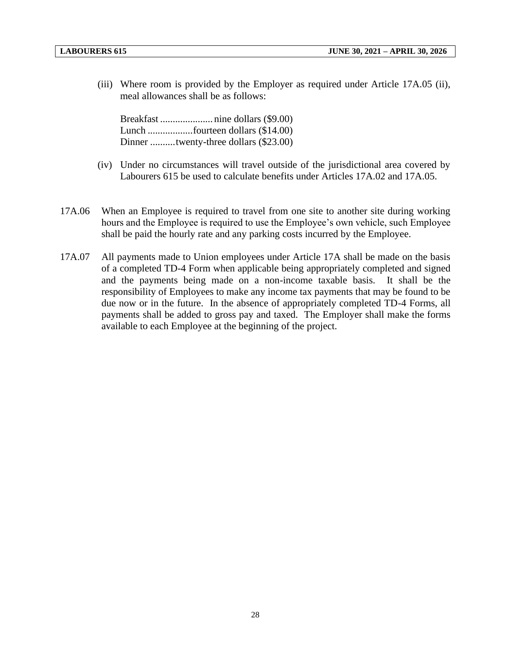(iii) Where room is provided by the Employer as required under Article 17A.05 (ii), meal allowances shall be as follows:

Breakfast ..................... nine dollars (\$9.00) Lunch ..................fourteen dollars (\$14.00) Dinner ..........twenty-three dollars (\$23.00)

- (iv) Under no circumstances will travel outside of the jurisdictional area covered by Labourers 615 be used to calculate benefits under Articles 17A.02 and 17A.05.
- 17A.06 When an Employee is required to travel from one site to another site during working hours and the Employee is required to use the Employee's own vehicle, such Employee shall be paid the hourly rate and any parking costs incurred by the Employee.
- 17A.07 All payments made to Union employees under Article 17A shall be made on the basis of a completed TD-4 Form when applicable being appropriately completed and signed and the payments being made on a non-income taxable basis. It shall be the responsibility of Employees to make any income tax payments that may be found to be due now or in the future. In the absence of appropriately completed TD-4 Forms, all payments shall be added to gross pay and taxed. The Employer shall make the forms available to each Employee at the beginning of the project.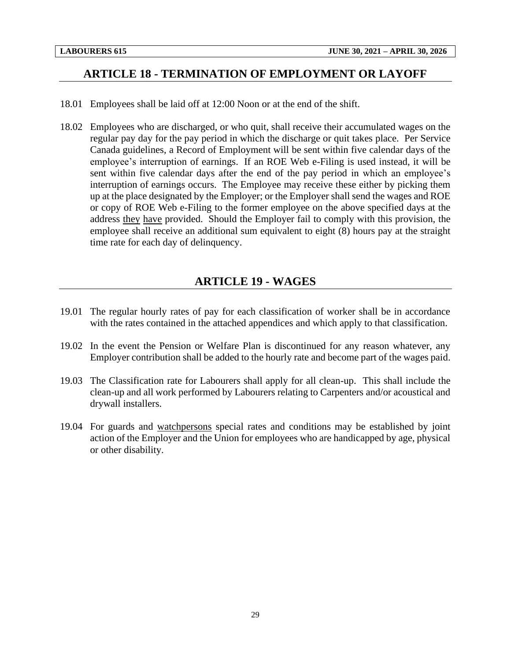## <span id="page-31-0"></span>**ARTICLE 18 - TERMINATION OF EMPLOYMENT OR LAYOFF**

- 18.01 Employees shall be laid off at 12:00 Noon or at the end of the shift.
- 18.02 Employees who are discharged, or who quit, shall receive their accumulated wages on the regular pay day for the pay period in which the discharge or quit takes place. Per Service Canada guidelines, a Record of Employment will be sent within five calendar days of the employee's interruption of earnings. If an ROE Web e-Filing is used instead, it will be sent within five calendar days after the end of the pay period in which an employee's interruption of earnings occurs. The Employee may receive these either by picking them up at the place designated by the Employer; or the Employer shall send the wages and ROE or copy of ROE Web e-Filing to the former employee on the above specified days at the address they have provided. Should the Employer fail to comply with this provision, the employee shall receive an additional sum equivalent to eight (8) hours pay at the straight time rate for each day of delinquency.

## **ARTICLE 19 - WAGES**

- <span id="page-31-1"></span>19.01 The regular hourly rates of pay for each classification of worker shall be in accordance with the rates contained in the attached appendices and which apply to that classification.
- 19.02 In the event the Pension or Welfare Plan is discontinued for any reason whatever, any Employer contribution shall be added to the hourly rate and become part of the wages paid.
- 19.03 The Classification rate for Labourers shall apply for all clean-up. This shall include the clean-up and all work performed by Labourers relating to Carpenters and/or acoustical and drywall installers.
- 19.04 For guards and watchpersons special rates and conditions may be established by joint action of the Employer and the Union for employees who are handicapped by age, physical or other disability.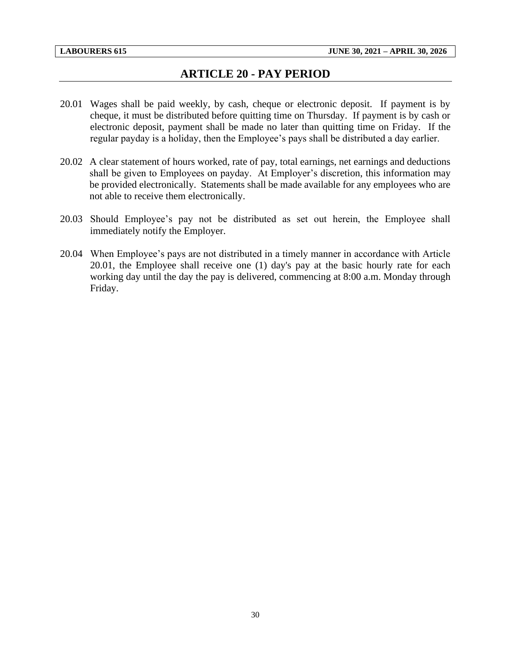## **ARTICLE 20 - PAY PERIOD**

- <span id="page-32-0"></span>20.01 Wages shall be paid weekly, by cash, cheque or electronic deposit. If payment is by cheque, it must be distributed before quitting time on Thursday. If payment is by cash or electronic deposit, payment shall be made no later than quitting time on Friday. If the regular payday is a holiday, then the Employee's pays shall be distributed a day earlier.
- 20.02 A clear statement of hours worked, rate of pay, total earnings, net earnings and deductions shall be given to Employees on payday. At Employer's discretion, this information may be provided electronically. Statements shall be made available for any employees who are not able to receive them electronically.
- 20.03 Should Employee's pay not be distributed as set out herein, the Employee shall immediately notify the Employer.
- 20.04 When Employee's pays are not distributed in a timely manner in accordance with Article 20.01, the Employee shall receive one (1) day's pay at the basic hourly rate for each working day until the day the pay is delivered, commencing at 8:00 a.m. Monday through Friday.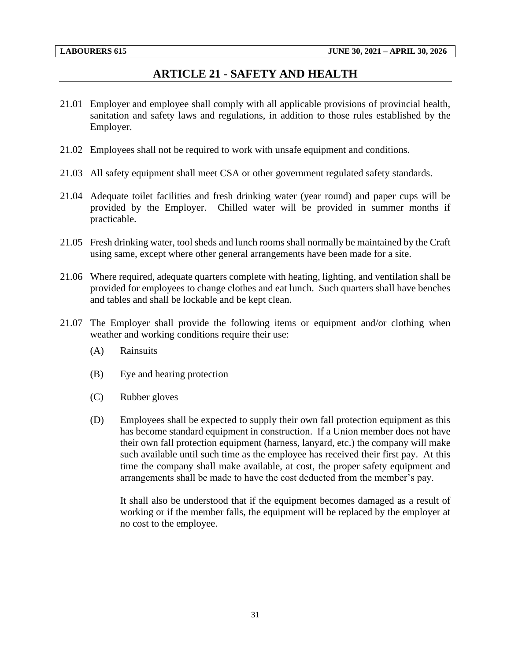#### **ARTICLE 21 - SAFETY AND HEALTH**

- <span id="page-33-0"></span>21.01 Employer and employee shall comply with all applicable provisions of provincial health, sanitation and safety laws and regulations, in addition to those rules established by the Employer.
- 21.02 Employees shall not be required to work with unsafe equipment and conditions.
- 21.03 All safety equipment shall meet CSA or other government regulated safety standards.
- 21.04 Adequate toilet facilities and fresh drinking water (year round) and paper cups will be provided by the Employer. Chilled water will be provided in summer months if practicable.
- 21.05 Fresh drinking water, tool sheds and lunch rooms shall normally be maintained by the Craft using same, except where other general arrangements have been made for a site.
- 21.06 Where required, adequate quarters complete with heating, lighting, and ventilation shall be provided for employees to change clothes and eat lunch. Such quarters shall have benches and tables and shall be lockable and be kept clean.
- 21.07 The Employer shall provide the following items or equipment and/or clothing when weather and working conditions require their use:
	- (A) Rainsuits
	- (B) Eye and hearing protection
	- (C) Rubber gloves
	- (D) Employees shall be expected to supply their own fall protection equipment as this has become standard equipment in construction. If a Union member does not have their own fall protection equipment (harness, lanyard, etc.) the company will make such available until such time as the employee has received their first pay. At this time the company shall make available, at cost, the proper safety equipment and arrangements shall be made to have the cost deducted from the member's pay.

It shall also be understood that if the equipment becomes damaged as a result of working or if the member falls, the equipment will be replaced by the employer at no cost to the employee.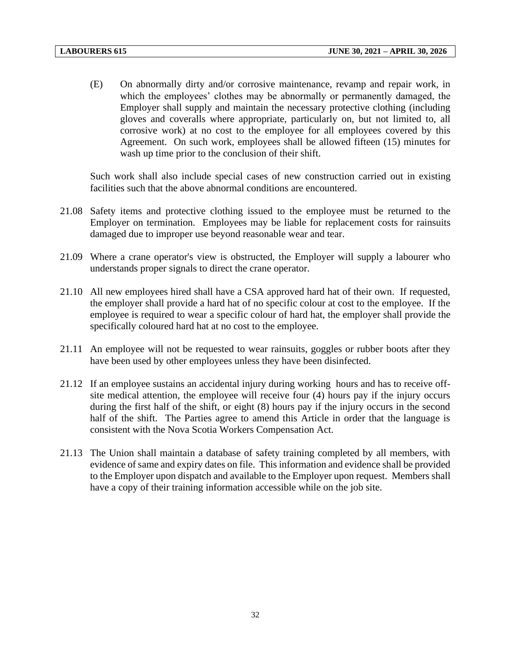(E) On abnormally dirty and/or corrosive maintenance, revamp and repair work, in which the employees' clothes may be abnormally or permanently damaged, the Employer shall supply and maintain the necessary protective clothing (including gloves and coveralls where appropriate, particularly on, but not limited to, all corrosive work) at no cost to the employee for all employees covered by this Agreement. On such work, employees shall be allowed fifteen (15) minutes for wash up time prior to the conclusion of their shift.

Such work shall also include special cases of new construction carried out in existing facilities such that the above abnormal conditions are encountered.

- 21.08 Safety items and protective clothing issued to the employee must be returned to the Employer on termination. Employees may be liable for replacement costs for rainsuits damaged due to improper use beyond reasonable wear and tear.
- 21.09 Where a crane operator's view is obstructed, the Employer will supply a labourer who understands proper signals to direct the crane operator.
- 21.10 All new employees hired shall have a CSA approved hard hat of their own. If requested, the employer shall provide a hard hat of no specific colour at cost to the employee. If the employee is required to wear a specific colour of hard hat, the employer shall provide the specifically coloured hard hat at no cost to the employee.
- 21.11 An employee will not be requested to wear rainsuits, goggles or rubber boots after they have been used by other employees unless they have been disinfected.
- 21.12 If an employee sustains an accidental injury during working hours and has to receive offsite medical attention, the employee will receive four (4) hours pay if the injury occurs during the first half of the shift, or eight (8) hours pay if the injury occurs in the second half of the shift. The Parties agree to amend this Article in order that the language is consistent with the Nova Scotia Workers Compensation Act.
- 21.13 The Union shall maintain a database of safety training completed by all members, with evidence of same and expiry dates on file. This information and evidence shall be provided to the Employer upon dispatch and available to the Employer upon request. Members shall have a copy of their training information accessible while on the job site.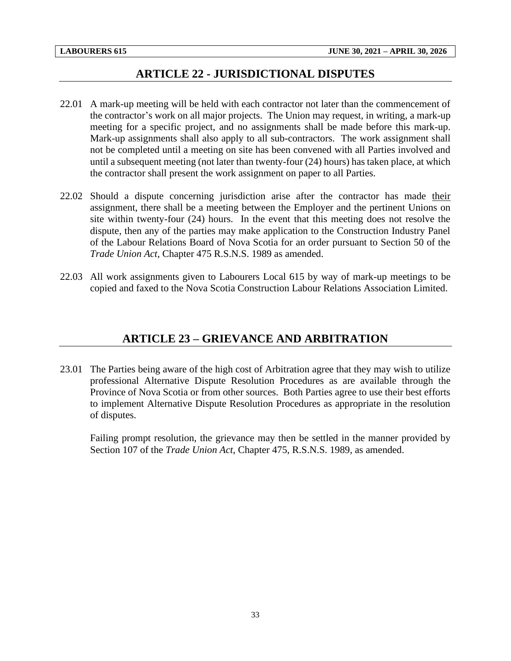## **ARTICLE 22 - JURISDICTIONAL DISPUTES**

- <span id="page-35-0"></span>22.01 A mark-up meeting will be held with each contractor not later than the commencement of the contractor's work on all major projects. The Union may request, in writing, a mark-up meeting for a specific project, and no assignments shall be made before this mark-up. Mark-up assignments shall also apply to all sub-contractors. The work assignment shall not be completed until a meeting on site has been convened with all Parties involved and until a subsequent meeting (not later than twenty-four (24) hours) has taken place, at which the contractor shall present the work assignment on paper to all Parties.
- 22.02 Should a dispute concerning jurisdiction arise after the contractor has made their assignment, there shall be a meeting between the Employer and the pertinent Unions on site within twenty-four (24) hours. In the event that this meeting does not resolve the dispute, then any of the parties may make application to the Construction Industry Panel of the Labour Relations Board of Nova Scotia for an order pursuant to Section 50 of the *Trade Union Act*, Chapter 475 R.S.N.S. 1989 as amended.
- <span id="page-35-1"></span>22.03 All work assignments given to Labourers Local 615 by way of mark-up meetings to be copied and faxed to the Nova Scotia Construction Labour Relations Association Limited.

## **ARTICLE 23 – GRIEVANCE AND ARBITRATION**

23.01 The Parties being aware of the high cost of Arbitration agree that they may wish to utilize professional Alternative Dispute Resolution Procedures as are available through the Province of Nova Scotia or from other sources. Both Parties agree to use their best efforts to implement Alternative Dispute Resolution Procedures as appropriate in the resolution of disputes.

Failing prompt resolution, the grievance may then be settled in the manner provided by Section 107 of the *Trade Union Act*, Chapter 475, R.S.N.S. 1989, as amended.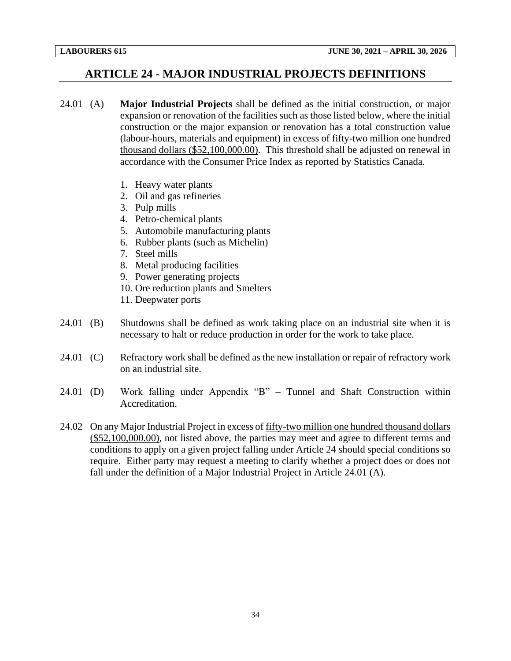## <span id="page-36-0"></span>**ARTICLE 24 - MAJOR INDUSTRIAL PROJECTS DEFINITIONS**

- 24.01 (A) **Major Industrial Projects** shall be defined as the initial construction, or major expansion or renovation of the facilities such as those listed below, where the initial construction or the major expansion or renovation has a total construction value (labour-hours, materials and equipment) in excess of fifty-two million one hundred thousand dollars (\$52,100,000.00). This threshold shall be adjusted on renewal in accordance with the Consumer Price Index as reported by Statistics Canada.
	- 1. Heavy water plants
	- 2. Oil and gas refineries
	- 3. Pulp mills
	- 4. Petro-chemical plants
	- 5. Automobile manufacturing plants
	- 6. Rubber plants (such as Michelin)
	- 7. Steel mills
	- 8. Metal producing facilities
	- 9. Power generating projects
	- 10. Ore reduction plants and Smelters
	- 11. Deepwater ports
- 24.01 (B) Shutdowns shall be defined as work taking place on an industrial site when it is necessary to halt or reduce production in order for the work to take place.
- 24.01 (C) Refractory work shall be defined as the new installation or repair of refractory work on an industrial site.
- 24.01 (D) Work falling under Appendix "B" Tunnel and Shaft Construction within Accreditation.
- 24.02 On any Major Industrial Project in excess of fifty-two million one hundred thousand dollars (\$52,100,000.00), not listed above, the parties may meet and agree to different terms and conditions to apply on a given project falling under Article 24 should special conditions so require. Either party may request a meeting to clarify whether a project does or does not fall under the definition of a Major Industrial Project in Article 24.01 (A).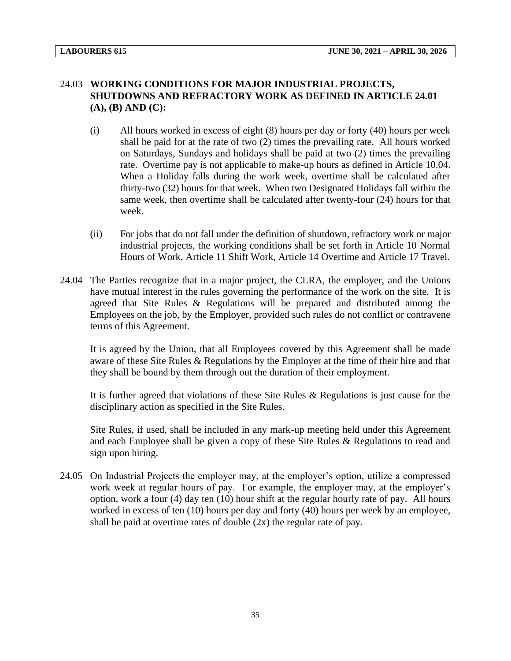#### 24.03 **WORKING CONDITIONS FOR MAJOR INDUSTRIAL PROJECTS, SHUTDOWNS AND REFRACTORY WORK AS DEFINED IN ARTICLE 24.01 (A), (B) AND (C):**

- (i) All hours worked in excess of eight (8) hours per day or forty (40) hours per week shall be paid for at the rate of two (2) times the prevailing rate. All hours worked on Saturdays, Sundays and holidays shall be paid at two (2) times the prevailing rate. Overtime pay is not applicable to make-up hours as defined in Article 10.04. When a Holiday falls during the work week, overtime shall be calculated after thirty-two (32) hours for that week. When two Designated Holidays fall within the same week, then overtime shall be calculated after twenty-four (24) hours for that week.
- (ii) For jobs that do not fall under the definition of shutdown, refractory work or major industrial projects, the working conditions shall be set forth in Article 10 Normal Hours of Work, Article 11 Shift Work, Article 14 Overtime and Article 17 Travel.
- 24.04 The Parties recognize that in a major project, the CLRA, the employer, and the Unions have mutual interest in the rules governing the performance of the work on the site. It is agreed that Site Rules & Regulations will be prepared and distributed among the Employees on the job, by the Employer, provided such rules do not conflict or contravene terms of this Agreement.

It is agreed by the Union, that all Employees covered by this Agreement shall be made aware of these Site Rules & Regulations by the Employer at the time of their hire and that they shall be bound by them through out the duration of their employment.

It is further agreed that violations of these Site Rules & Regulations is just cause for the disciplinary action as specified in the Site Rules.

Site Rules, if used, shall be included in any mark-up meeting held under this Agreement and each Employee shall be given a copy of these Site Rules & Regulations to read and sign upon hiring.

24.05 On Industrial Projects the employer may, at the employer's option, utilize a compressed work week at regular hours of pay. For example, the employer may, at the employer's option, work a four (4) day ten (10) hour shift at the regular hourly rate of pay. All hours worked in excess of ten (10) hours per day and forty (40) hours per week by an employee, shall be paid at overtime rates of double  $(2x)$  the regular rate of pay.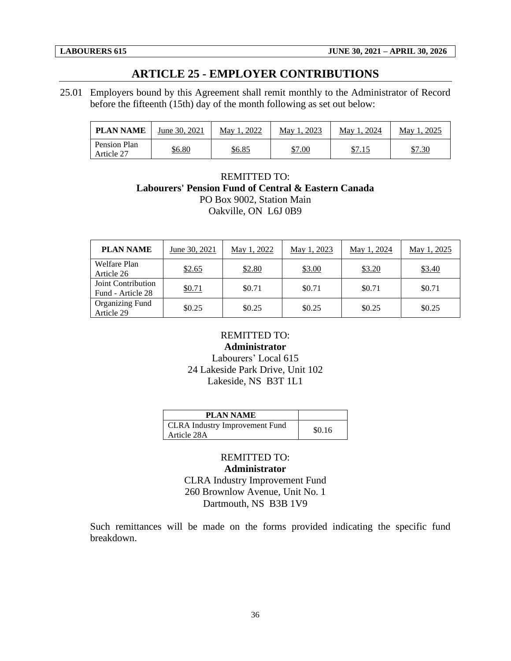## **ARTICLE 25 - EMPLOYER CONTRIBUTIONS**

<span id="page-38-0"></span>25.01 Employers bound by this Agreement shall remit monthly to the Administrator of Record before the fifteenth (15th) day of the month following as set out below:

| <b>PLAN NAME</b>           | June 30, 2021 | 2022<br>May 1 | . 2023<br>May 1 | May 1, 2024   | 2025<br>May 1. |
|----------------------------|---------------|---------------|-----------------|---------------|----------------|
| Pension Plan<br>Article 27 | <u>\$6.80</u> | <u>\$6.85</u> | \$7.00          | <u>\$7.15</u> | <u>\$7.30</u>  |

#### REMITTED TO: **Labourers' Pension Fund of Central & Eastern Canada** PO Box 9002, Station Main Oakville, ON L6J 0B9

| <b>PLAN NAME</b>                        | June 30, 2021 | May 1, 2022 | May 1, 2023 | May 1, 2024 | May 1, 2025 |
|-----------------------------------------|---------------|-------------|-------------|-------------|-------------|
| <b>Welfare Plan</b><br>Article 26       | \$2.65        | \$2.80      | \$3.00      | \$3.20      | \$3.40      |
| Joint Contribution<br>Fund - Article 28 | \$0.71        | \$0.71      | \$0.71      | \$0.71      | \$0.71      |
| <b>Organizing Fund</b><br>Article 29    | \$0.25        | \$0.25      | \$0.25      | \$0.25      | \$0.25      |

## REMITTED TO: **Administrator**

Labourers' Local 615 24 Lakeside Park Drive, Unit 102 Lakeside, NS B3T 1L1

| <b>PLAN NAME</b>                                     |        |
|------------------------------------------------------|--------|
| <b>CLRA</b> Industry Improvement Fund<br>Article 28A | \$0.16 |

## REMITTED TO: **Administrator**

CLRA Industry Improvement Fund 260 Brownlow Avenue, Unit No. 1 Dartmouth, NS B3B 1V9

Such remittances will be made on the forms provided indicating the specific fund breakdown.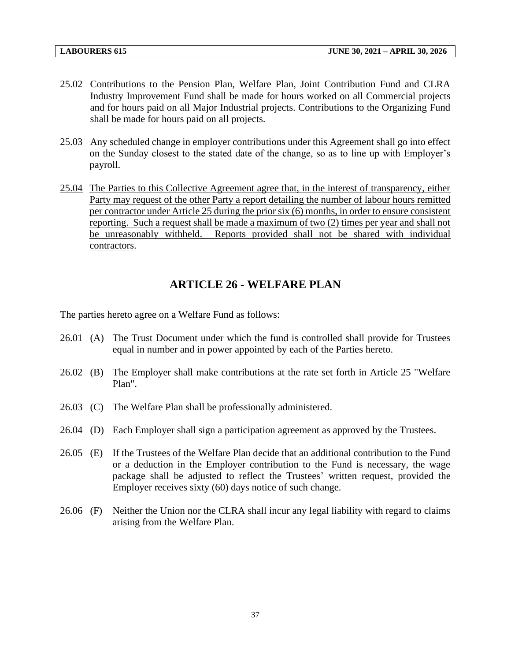- 25.02 Contributions to the Pension Plan, Welfare Plan, Joint Contribution Fund and CLRA Industry Improvement Fund shall be made for hours worked on all Commercial projects and for hours paid on all Major Industrial projects. Contributions to the Organizing Fund shall be made for hours paid on all projects.
- 25.03 Any scheduled change in employer contributions under this Agreement shall go into effect on the Sunday closest to the stated date of the change, so as to line up with Employer's payroll.
- 25.04 The Parties to this Collective Agreement agree that, in the interest of transparency, either Party may request of the other Party a report detailing the number of labour hours remitted per contractor under Article 25 during the prior six (6) months, in order to ensure consistent reporting. Such a request shall be made a maximum of two (2) times per year and shall not be unreasonably withheld. Reports provided shall not be shared with individual contractors.

## **ARTICLE 26 - WELFARE PLAN**

<span id="page-39-0"></span>The parties hereto agree on a Welfare Fund as follows:

- 26.01 (A) The Trust Document under which the fund is controlled shall provide for Trustees equal in number and in power appointed by each of the Parties hereto.
- 26.02 (B) The Employer shall make contributions at the rate set forth in Article 25 "Welfare Plan".
- 26.03 (C) The Welfare Plan shall be professionally administered.
- 26.04 (D) Each Employer shall sign a participation agreement as approved by the Trustees.
- 26.05 (E) If the Trustees of the Welfare Plan decide that an additional contribution to the Fund or a deduction in the Employer contribution to the Fund is necessary, the wage package shall be adjusted to reflect the Trustees' written request, provided the Employer receives sixty (60) days notice of such change.
- 26.06 (F) Neither the Union nor the CLRA shall incur any legal liability with regard to claims arising from the Welfare Plan.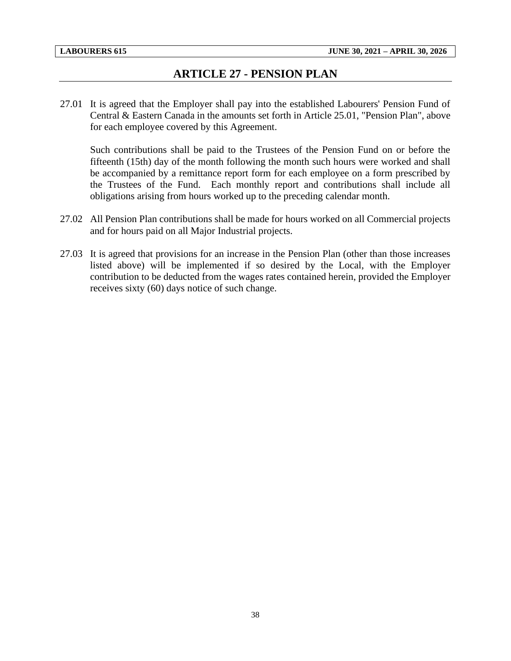## **ARTICLE 27 - PENSION PLAN**

<span id="page-40-0"></span>27.01 It is agreed that the Employer shall pay into the established Labourers' Pension Fund of Central & Eastern Canada in the amounts set forth in Article 25.01, "Pension Plan", above for each employee covered by this Agreement.

Such contributions shall be paid to the Trustees of the Pension Fund on or before the fifteenth (15th) day of the month following the month such hours were worked and shall be accompanied by a remittance report form for each employee on a form prescribed by the Trustees of the Fund. Each monthly report and contributions shall include all obligations arising from hours worked up to the preceding calendar month.

- 27.02 All Pension Plan contributions shall be made for hours worked on all Commercial projects and for hours paid on all Major Industrial projects.
- 27.03 It is agreed that provisions for an increase in the Pension Plan (other than those increases listed above) will be implemented if so desired by the Local, with the Employer contribution to be deducted from the wages rates contained herein, provided the Employer receives sixty (60) days notice of such change.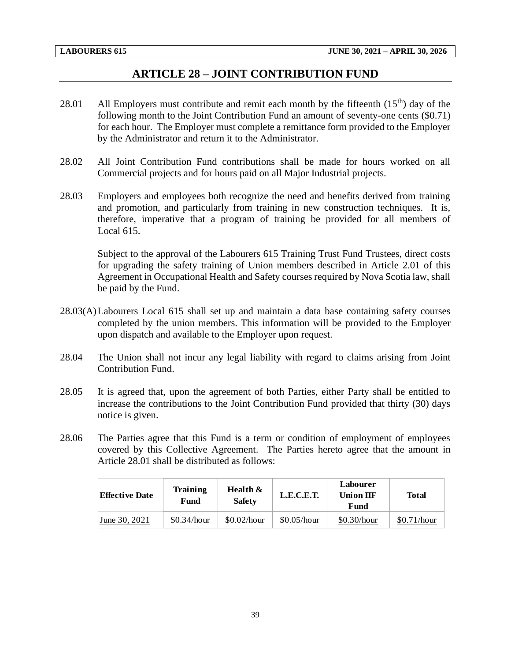## **ARTICLE 28 – JOINT CONTRIBUTION FUND**

- <span id="page-41-0"></span>28.01 All Employers must contribute and remit each month by the fifteenth  $(15<sup>th</sup>)$  day of the following month to the Joint Contribution Fund an amount of seventy-one cents (\$0.71) for each hour. The Employer must complete a remittance form provided to the Employer by the Administrator and return it to the Administrator.
- 28.02 All Joint Contribution Fund contributions shall be made for hours worked on all Commercial projects and for hours paid on all Major Industrial projects.
- 28.03 Employers and employees both recognize the need and benefits derived from training and promotion, and particularly from training in new construction techniques. It is, therefore, imperative that a program of training be provided for all members of Local 615.

Subject to the approval of the Labourers 615 Training Trust Fund Trustees, direct costs for upgrading the safety training of Union members described in Article 2.01 of this Agreement in Occupational Health and Safety courses required by Nova Scotia law, shall be paid by the Fund.

- 28.03(A)Labourers Local 615 shall set up and maintain a data base containing safety courses completed by the union members. This information will be provided to the Employer upon dispatch and available to the Employer upon request.
- 28.04 The Union shall not incur any legal liability with regard to claims arising from Joint Contribution Fund.
- 28.05 It is agreed that, upon the agreement of both Parties, either Party shall be entitled to increase the contributions to the Joint Contribution Fund provided that thirty (30) days notice is given.
- 28.06 The Parties agree that this Fund is a term or condition of employment of employees covered by this Collective Agreement. The Parties hereto agree that the amount in Article 28.01 shall be distributed as follows:

| <b>Effective Date</b> | Health $\&$<br>Training<br><b>Safety</b><br>Fund |             | L.E.C.E.T.  | <b>Labourer</b><br><b>Union IIF</b><br>Fund | <b>Total</b> |
|-----------------------|--------------------------------------------------|-------------|-------------|---------------------------------------------|--------------|
| June 30, 2021         | \$0.34/hour                                      | \$0.02/hour | \$0.05/hour | \$0.30/hour                                 | \$0.71/hour  |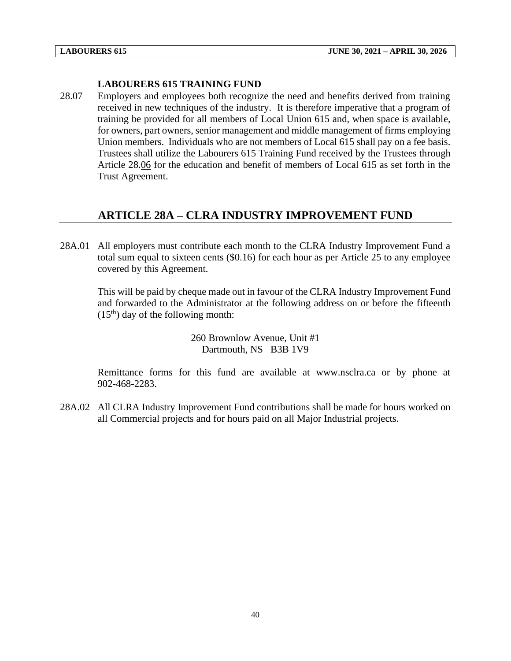#### **LABOURERS 615 TRAINING FUND**

28.07 Employers and employees both recognize the need and benefits derived from training received in new techniques of the industry. It is therefore imperative that a program of training be provided for all members of Local Union 615 and, when space is available, for owners, part owners, senior management and middle management of firms employing Union members. Individuals who are not members of Local 615 shall pay on a fee basis. Trustees shall utilize the Labourers 615 Training Fund received by the Trustees through Article 28.06 for the education and benefit of members of Local 615 as set forth in the Trust Agreement.

## <span id="page-42-0"></span>**ARTICLE 28A – CLRA INDUSTRY IMPROVEMENT FUND**

28A.01 All employers must contribute each month to the CLRA Industry Improvement Fund a total sum equal to sixteen cents (\$0.16) for each hour as per Article 25 to any employee covered by this Agreement.

This will be paid by cheque made out in favour of the CLRA Industry Improvement Fund and forwarded to the Administrator at the following address on or before the fifteenth  $(15<sup>th</sup>)$  day of the following month:

> 260 Brownlow Avenue, Unit #1 Dartmouth, NS B3B 1V9

Remittance forms for this fund are available at www.nsclra.ca or by phone at 902-468-2283.

28A.02 All CLRA Industry Improvement Fund contributions shall be made for hours worked on all Commercial projects and for hours paid on all Major Industrial projects.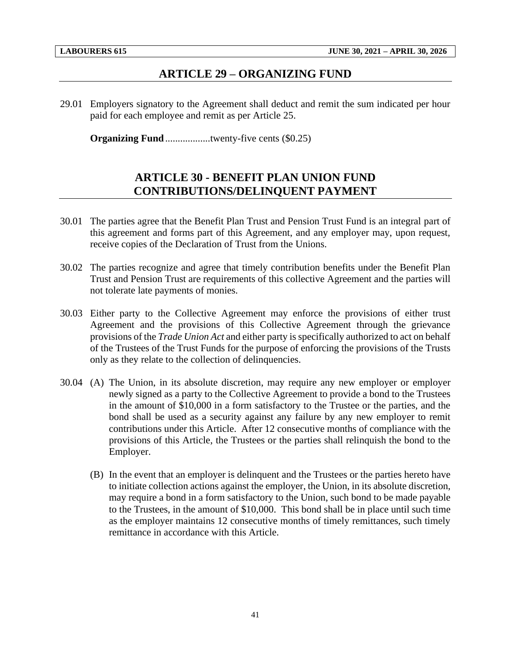#### **ARTICLE 29 – ORGANIZING FUND**

<span id="page-43-0"></span>29.01 Employers signatory to the Agreement shall deduct and remit the sum indicated per hour paid for each employee and remit as per Article 25.

<span id="page-43-1"></span>**Organizing Fund**.......................twenty-five cents (\$0.25)

## **ARTICLE 30 - BENEFIT PLAN UNION FUND CONTRIBUTIONS/DELINQUENT PAYMENT**

- 30.01 The parties agree that the Benefit Plan Trust and Pension Trust Fund is an integral part of this agreement and forms part of this Agreement, and any employer may, upon request, receive copies of the Declaration of Trust from the Unions.
- 30.02 The parties recognize and agree that timely contribution benefits under the Benefit Plan Trust and Pension Trust are requirements of this collective Agreement and the parties will not tolerate late payments of monies.
- 30.03 Either party to the Collective Agreement may enforce the provisions of either trust Agreement and the provisions of this Collective Agreement through the grievance provisions of the *Trade Union Act* and either party is specifically authorized to act on behalf of the Trustees of the Trust Funds for the purpose of enforcing the provisions of the Trusts only as they relate to the collection of delinquencies.
- 30.04 (A) The Union, in its absolute discretion, may require any new employer or employer newly signed as a party to the Collective Agreement to provide a bond to the Trustees in the amount of \$10,000 in a form satisfactory to the Trustee or the parties, and the bond shall be used as a security against any failure by any new employer to remit contributions under this Article. After 12 consecutive months of compliance with the provisions of this Article, the Trustees or the parties shall relinquish the bond to the Employer.
	- (B) In the event that an employer is delinquent and the Trustees or the parties hereto have to initiate collection actions against the employer, the Union, in its absolute discretion, may require a bond in a form satisfactory to the Union, such bond to be made payable to the Trustees, in the amount of \$10,000. This bond shall be in place until such time as the employer maintains 12 consecutive months of timely remittances, such timely remittance in accordance with this Article.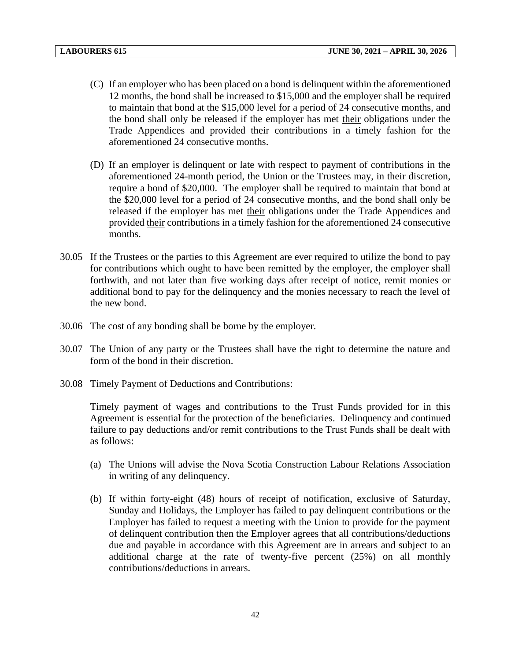- (C) If an employer who has been placed on a bond is delinquent within the aforementioned 12 months, the bond shall be increased to \$15,000 and the employer shall be required to maintain that bond at the \$15,000 level for a period of 24 consecutive months, and the bond shall only be released if the employer has met their obligations under the Trade Appendices and provided their contributions in a timely fashion for the aforementioned 24 consecutive months.
- (D) If an employer is delinquent or late with respect to payment of contributions in the aforementioned 24-month period, the Union or the Trustees may, in their discretion, require a bond of \$20,000. The employer shall be required to maintain that bond at the \$20,000 level for a period of 24 consecutive months, and the bond shall only be released if the employer has met their obligations under the Trade Appendices and provided their contributions in a timely fashion for the aforementioned 24 consecutive months.
- 30.05 If the Trustees or the parties to this Agreement are ever required to utilize the bond to pay for contributions which ought to have been remitted by the employer, the employer shall forthwith, and not later than five working days after receipt of notice, remit monies or additional bond to pay for the delinquency and the monies necessary to reach the level of the new bond.
- 30.06 The cost of any bonding shall be borne by the employer.
- 30.07 The Union of any party or the Trustees shall have the right to determine the nature and form of the bond in their discretion.
- 30.08 Timely Payment of Deductions and Contributions:

Timely payment of wages and contributions to the Trust Funds provided for in this Agreement is essential for the protection of the beneficiaries. Delinquency and continued failure to pay deductions and/or remit contributions to the Trust Funds shall be dealt with as follows:

- (a) The Unions will advise the Nova Scotia Construction Labour Relations Association in writing of any delinquency.
- (b) If within forty-eight (48) hours of receipt of notification, exclusive of Saturday, Sunday and Holidays, the Employer has failed to pay delinquent contributions or the Employer has failed to request a meeting with the Union to provide for the payment of delinquent contribution then the Employer agrees that all contributions/deductions due and payable in accordance with this Agreement are in arrears and subject to an additional charge at the rate of twenty-five percent (25%) on all monthly contributions/deductions in arrears.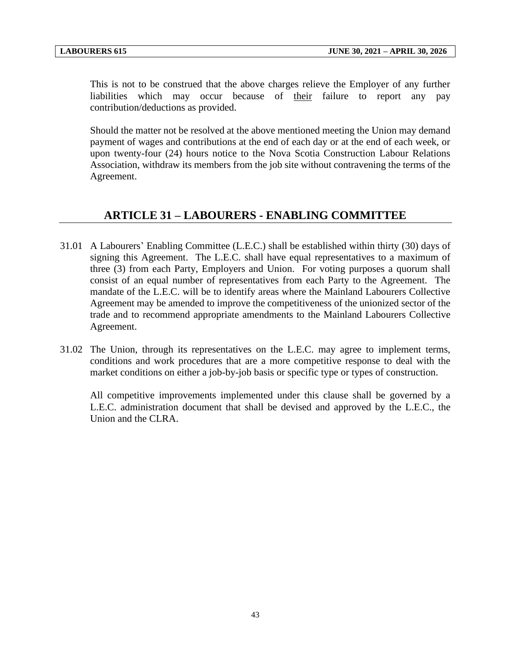This is not to be construed that the above charges relieve the Employer of any further liabilities which may occur because of their failure to report any pay contribution/deductions as provided.

Should the matter not be resolved at the above mentioned meeting the Union may demand payment of wages and contributions at the end of each day or at the end of each week, or upon twenty-four (24) hours notice to the Nova Scotia Construction Labour Relations Association, withdraw its members from the job site without contravening the terms of the Agreement.

## **ARTICLE 31 – LABOURERS - ENABLING COMMITTEE**

- <span id="page-45-0"></span>31.01 A Labourers' Enabling Committee (L.E.C.) shall be established within thirty (30) days of signing this Agreement. The L.E.C. shall have equal representatives to a maximum of three (3) from each Party, Employers and Union. For voting purposes a quorum shall consist of an equal number of representatives from each Party to the Agreement. The mandate of the L.E.C. will be to identify areas where the Mainland Labourers Collective Agreement may be amended to improve the competitiveness of the unionized sector of the trade and to recommend appropriate amendments to the Mainland Labourers Collective Agreement.
- 31.02 The Union, through its representatives on the L.E.C. may agree to implement terms, conditions and work procedures that are a more competitive response to deal with the market conditions on either a job-by-job basis or specific type or types of construction.

All competitive improvements implemented under this clause shall be governed by a L.E.C. administration document that shall be devised and approved by the L.E.C., the Union and the CLRA.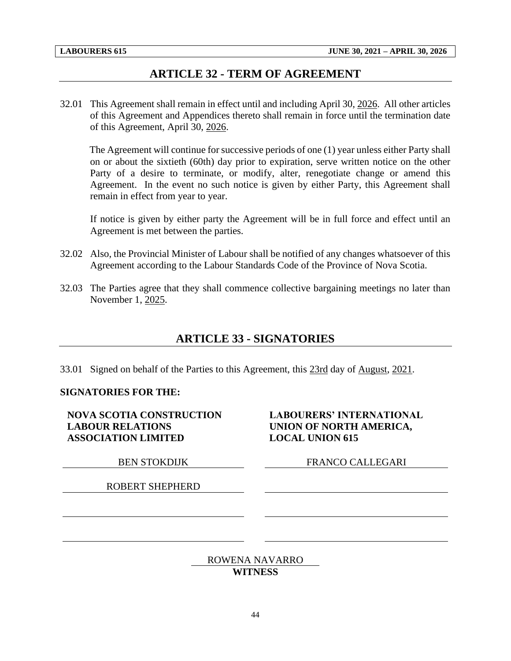## **ARTICLE 32 - TERM OF AGREEMENT**

<span id="page-46-0"></span>32.01 This Agreement shall remain in effect until and including April 30, 2026. All other articles of this Agreement and Appendices thereto shall remain in force until the termination date of this Agreement, April 30, 2026.

The Agreement will continue for successive periods of one (1) year unless either Party shall on or about the sixtieth (60th) day prior to expiration, serve written notice on the other Party of a desire to terminate, or modify, alter, renegotiate change or amend this Agreement. In the event no such notice is given by either Party, this Agreement shall remain in effect from year to year.

If notice is given by either party the Agreement will be in full force and effect until an Agreement is met between the parties.

- 32.02 Also, the Provincial Minister of Labour shall be notified of any changes whatsoever of this Agreement according to the Labour Standards Code of the Province of Nova Scotia.
- <span id="page-46-1"></span>32.03 The Parties agree that they shall commence collective bargaining meetings no later than November 1, 2025.

## **ARTICLE 33 - SIGNATORIES**

33.01 Signed on behalf of the Parties to this Agreement, this 23rd day of August, 2021.

#### **SIGNATORIES FOR THE:**

**NOVA SCOTIA CONSTRUCTION LABOUR RELATIONS ASSOCIATION LIMITED**

ROBERT SHEPHERD

**LABOURERS' INTERNATIONAL UNION OF NORTH AMERICA, LOCAL UNION 615**

BEN STOKDIJK FRANCO CALLEGARI

#### ROWENA NAVARRO

#### **WITNESS**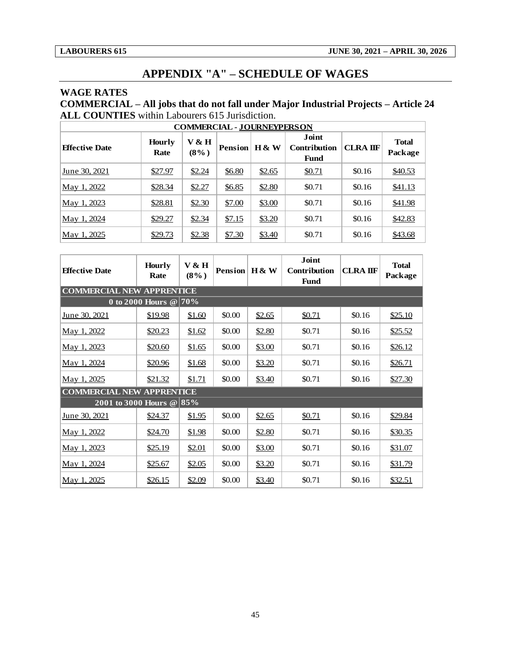## **APPENDIX "A" – SCHEDULE OF WAGES**

#### <span id="page-47-0"></span>**WAGE RATES**

**COMMERCIAL – All jobs that do not fall under Major Industrial Projects – Article 24 ALL COUNTIES** within Labourers 615 Jurisdiction.

| <b>COMMERCIAL - JOURNEYPERSON</b> |                       |                             |                |          |                                             |                 |                         |  |  |
|-----------------------------------|-----------------------|-----------------------------|----------------|----------|---------------------------------------------|-----------------|-------------------------|--|--|
| <b>Effective Date</b>             | <b>Hourly</b><br>Rate | <b>V &amp; H</b><br>$(8\%)$ | <b>Pension</b> | $H \& W$ | Joint<br><b>Contribution</b><br><b>Fund</b> | <b>CLRA IIF</b> | <b>Total</b><br>Package |  |  |
| June 30, 2021                     | \$27.97               | \$2.24                      | \$6.80         | \$2.65   | \$0.71                                      | \$0.16          | \$40.53                 |  |  |
| May 1, 2022                       | \$28.34               | \$2.27                      | \$6.85         | \$2.80   | \$0.71                                      | \$0.16          | \$41.13                 |  |  |
| May 1, 2023                       | \$28.81               | \$2.30                      | \$7.00         | \$3.00   | \$0.71                                      | \$0.16          | \$41.98                 |  |  |
| May 1, 2024                       | \$29.27               | \$2.34                      | \$7.15         | \$3.20   | \$0.71                                      | \$0.16          | \$42.83                 |  |  |
| May 1, 2025                       | \$29.73               | \$2.38                      | \$7.30         | \$3.40   | \$0.71                                      | \$0.16          | \$43.68                 |  |  |

| <b>Effective Date</b>            | <b>Hourly</b><br>Rate              | V & H<br>$(8\%)$ | Pension   H & W |        | <b>Joint</b><br>Contribution<br><b>Fund</b> | <b>CLRA IIF</b> | <b>Total</b><br>Package |  |  |  |
|----------------------------------|------------------------------------|------------------|-----------------|--------|---------------------------------------------|-----------------|-------------------------|--|--|--|
| <b>COMMERCIAL NEW APPRENTICE</b> |                                    |                  |                 |        |                                             |                 |                         |  |  |  |
|                                  | 0 to 2000 Hours $\circledcirc$ 70% |                  |                 |        |                                             |                 |                         |  |  |  |
| June 30, 2021                    | \$19.98                            | \$1.60           | \$0.00          | \$2.65 | \$0.71                                      | \$0.16          | \$25.10                 |  |  |  |
| May 1, 2022                      | \$20.23                            | \$1.62           | \$0.00          | \$2.80 | \$0.71                                      | \$0.16          | \$25.52                 |  |  |  |
| May 1, 2023                      | \$20.60                            | \$1.65           | \$0.00          | \$3.00 | \$0.71                                      | \$0.16          | \$26.12                 |  |  |  |
| May 1, 2024                      | \$20.96                            | \$1.68           | \$0.00          | \$3.20 | \$0.71                                      | \$0.16          | \$26.71                 |  |  |  |
| May 1, 2025                      | \$21.32                            | \$1.71           | \$0.00          | \$3.40 | \$0.71                                      | \$0.16          | \$27.30                 |  |  |  |
| <b>COMMERCIAL NEW APPRENTICE</b> |                                    |                  |                 |        |                                             |                 |                         |  |  |  |
| 2001 to 3000 Hours @ 85%         |                                    |                  |                 |        |                                             |                 |                         |  |  |  |
| June 30, 2021                    | \$24.37                            | \$1.95           | \$0.00          | \$2.65 | \$0.71                                      | \$0.16          | \$29.84                 |  |  |  |
| <u>May 1, 2022</u>               | \$24.70                            | \$1.98           | \$0.00          | \$2.80 | \$0.71                                      | \$0.16          | \$30.35                 |  |  |  |
| May 1, 2023                      | \$25.19                            | \$2.01           | \$0.00          | \$3.00 | \$0.71                                      | \$0.16          | \$31.07                 |  |  |  |
| May 1, 2024                      | \$25.67                            | \$2.05           | \$0.00          | \$3.20 | \$0.71                                      | \$0.16          | \$31.79                 |  |  |  |
| May 1, 2025                      | \$26.15                            | \$2.09           | \$0.00          | \$3.40 | \$0.71                                      | \$0.16          | \$32.51                 |  |  |  |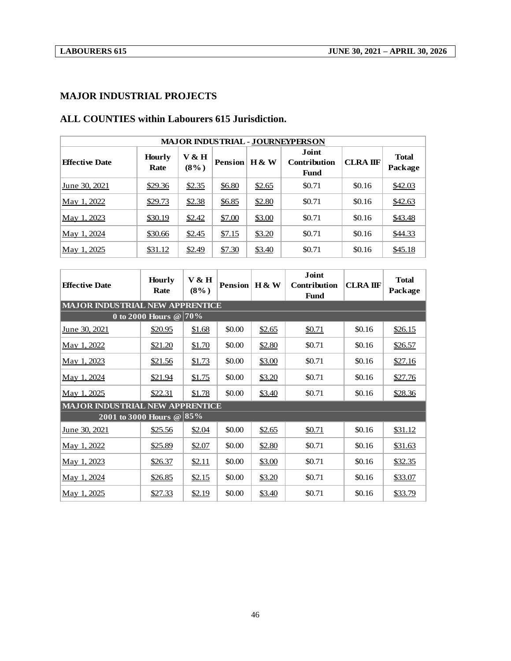#### **MAJOR INDUSTRIAL PROJECTS**

| <b>MAJOR INDUSTRIAL - JOURNEYPERSON</b> |                       |                  |                |                  |                                      |                 |                         |  |
|-----------------------------------------|-----------------------|------------------|----------------|------------------|--------------------------------------|-----------------|-------------------------|--|
| <b>Effective Date</b>                   | <b>Hourly</b><br>Rate | V & H<br>$(8\%)$ | <b>Pension</b> | <b>H &amp; W</b> | Joint<br><b>Contribution</b><br>Fund | <b>CLRA IIF</b> | <b>Total</b><br>Package |  |
| June 30. 2021                           | \$29.36               | \$2.35           | \$6.80         | \$2.65           | \$0.71                               | \$0.16          | \$42.03                 |  |
| May 1, 2022                             | \$29.73               | \$2.38           | \$6.85         | \$2.80           | \$0.71                               | \$0.16          | \$42.63                 |  |
| May 1, 2023                             | \$30.19               | \$2.42           | \$7.00         | \$3.00           | \$0.71                               | \$0.16          | \$43.48                 |  |
| May 1, 2024                             | \$30.66               | \$2.45           | \$7.15         | \$3.20           | \$0.71                               | \$0.16          | \$44.33                 |  |
| May 1, 2025                             | \$31.12               | \$2.49           | \$7.30         | \$3.40           | \$0.71                               | \$0.16          | \$45.18                 |  |

### **ALL COUNTIES within Labourers 615 Jurisdiction.**

| <b>Effective Date</b>                            | <b>Hourly</b><br>Rate | V & H<br>$(8\%)$ | <b>Pension</b> | $H \& W$ | <b>Joint</b><br>Contribution<br><b>Fund</b> | <b>CLRA IIF</b> | <b>Total</b><br>Package |  |
|--------------------------------------------------|-----------------------|------------------|----------------|----------|---------------------------------------------|-----------------|-------------------------|--|
| <b>MAJOR INDUSTRIAL NEW APPRENTICE</b>           |                       |                  |                |          |                                             |                 |                         |  |
| $\overline{0}$ to 2000 Hours $\mathcal{Q}$   70% |                       |                  |                |          |                                             |                 |                         |  |
| <u>June 30, 2021</u>                             | \$20.95               | \$1.68           | \$0.00         | \$2.65   | \$0.71                                      | \$0.16          | \$26.15                 |  |
| May 1, 2022                                      | \$21.20               | \$1.70           | \$0.00         | \$2.80   | \$0.71                                      | \$0.16          | \$26.57                 |  |
| May 1, 2023                                      | \$21.56               | \$1.73           | \$0.00         | \$3.00   | \$0.71                                      | \$0.16          | \$27.16                 |  |
| <u>May 1, 2024</u>                               | \$21.94               | \$1.75           | \$0.00         | \$3.20   | \$0.71                                      | \$0.16          | \$27.76                 |  |
| May 1, 2025                                      | \$22.31               | \$1.78           | \$0.00         | \$3.40   | \$0.71                                      | \$0.16          | \$28.36                 |  |
| <b>MAJOR INDUSTRIAL NEW APPRENTICE</b>           |                       |                  |                |          |                                             |                 |                         |  |
| 2001 to 3000 Hours @ $85%$                       |                       |                  |                |          |                                             |                 |                         |  |
| June 30, 2021                                    | \$25.56               | \$2.04           | \$0.00         | \$2.65   | \$0.71                                      | \$0.16          | \$31.12                 |  |
| May 1, 2022                                      | \$25.89               | \$2.07           | \$0.00         | \$2.80   | \$0.71                                      | \$0.16          | \$31.63                 |  |
| <u>May 1, 2023</u>                               | \$26.37               | \$2.11           | \$0.00         | \$3.00   | \$0.71                                      | \$0.16          | \$32.35                 |  |
| <u>May 1, 2024</u>                               | \$26.85               | \$2.15           | \$0.00         | \$3.20   | \$0.71                                      | \$0.16          | \$33.07                 |  |
| May 1, 2025                                      | \$27.33               | \$2.19           | \$0.00         | \$3.40   | \$0.71                                      | \$0.16          | \$33.79                 |  |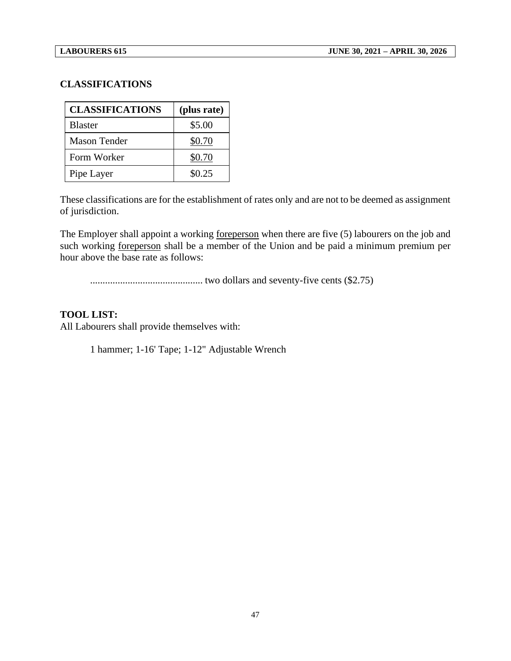#### **CLASSIFICATIONS**

| <b>CLASSIFICATIONS</b> | (plus rate) |
|------------------------|-------------|
| <b>Blaster</b>         | \$5.00      |
| <b>Mason Tender</b>    | \$0.70      |
| Form Worker            | \$0.70      |
| Pipe Layer             | \$0.25      |

These classifications are for the establishment of rates only and are not to be deemed as assignment of jurisdiction.

The Employer shall appoint a working foreperson when there are five (5) labourers on the job and such working foreperson shall be a member of the Union and be paid a minimum premium per hour above the base rate as follows:

............................................. two dollars and seventy-five cents (\$2.75)

#### **TOOL LIST:**

All Labourers shall provide themselves with:

1 hammer; 1-16' Tape; 1-12" Adjustable Wrench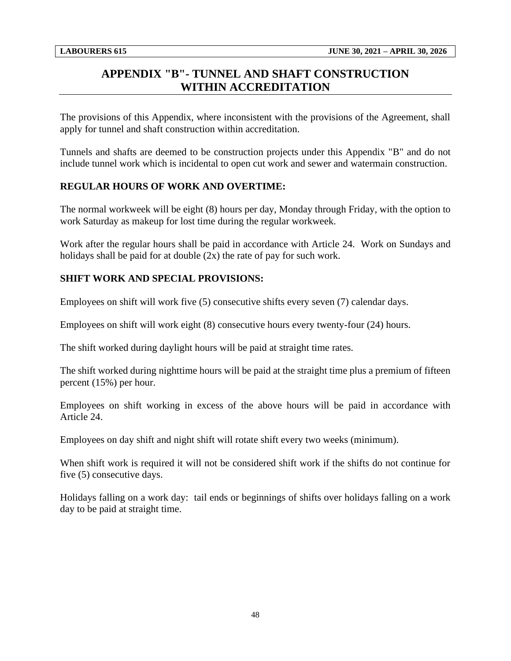## <span id="page-50-0"></span>**APPENDIX "B"- TUNNEL AND SHAFT CONSTRUCTION WITHIN ACCREDITATION**

The provisions of this Appendix, where inconsistent with the provisions of the Agreement, shall apply for tunnel and shaft construction within accreditation.

Tunnels and shafts are deemed to be construction projects under this Appendix "B" and do not include tunnel work which is incidental to open cut work and sewer and watermain construction.

### **REGULAR HOURS OF WORK AND OVERTIME:**

The normal workweek will be eight (8) hours per day, Monday through Friday, with the option to work Saturday as makeup for lost time during the regular workweek.

Work after the regular hours shall be paid in accordance with Article 24. Work on Sundays and holidays shall be paid for at double  $(2x)$  the rate of pay for such work.

#### **SHIFT WORK AND SPECIAL PROVISIONS:**

Employees on shift will work five (5) consecutive shifts every seven (7) calendar days.

Employees on shift will work eight (8) consecutive hours every twenty-four (24) hours.

The shift worked during daylight hours will be paid at straight time rates.

The shift worked during nighttime hours will be paid at the straight time plus a premium of fifteen percent (15%) per hour.

Employees on shift working in excess of the above hours will be paid in accordance with Article 24.

Employees on day shift and night shift will rotate shift every two weeks (minimum).

When shift work is required it will not be considered shift work if the shifts do not continue for five (5) consecutive days.

Holidays falling on a work day: tail ends or beginnings of shifts over holidays falling on a work day to be paid at straight time.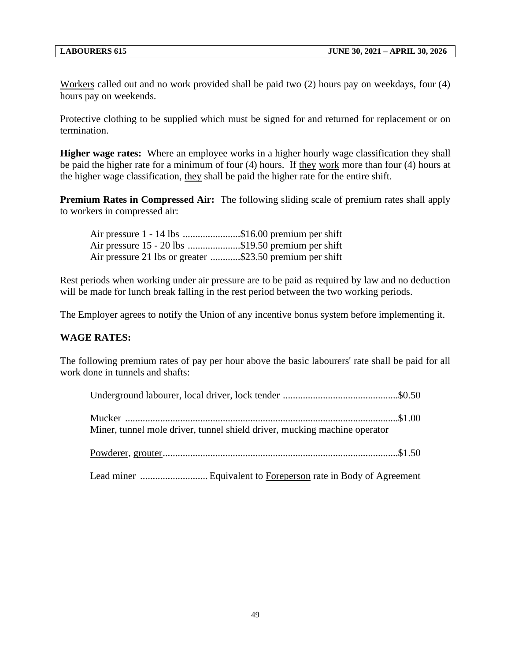Workers called out and no work provided shall be paid two (2) hours pay on weekdays, four (4) hours pay on weekends.

Protective clothing to be supplied which must be signed for and returned for replacement or on termination.

**Higher wage rates:** Where an employee works in a higher hourly wage classification they shall be paid the higher rate for a minimum of four (4) hours. If they work more than four (4) hours at the higher wage classification, they shall be paid the higher rate for the entire shift.

**Premium Rates in Compressed Air:** The following sliding scale of premium rates shall apply to workers in compressed air:

| Air pressure 1 - 14 lbs \$16.00 premium per shift        |
|----------------------------------------------------------|
| Air pressure 15 - 20 lbs \$19.50 premium per shift       |
| Air pressure 21 lbs or greater \$23.50 premium per shift |

Rest periods when working under air pressure are to be paid as required by law and no deduction will be made for lunch break falling in the rest period between the two working periods.

The Employer agrees to notify the Union of any incentive bonus system before implementing it.

#### **WAGE RATES:**

The following premium rates of pay per hour above the basic labourers' rate shall be paid for all work done in tunnels and shafts:

| Miner, tunnel mole driver, tunnel shield driver, mucking machine operator |  |
|---------------------------------------------------------------------------|--|
|                                                                           |  |
|                                                                           |  |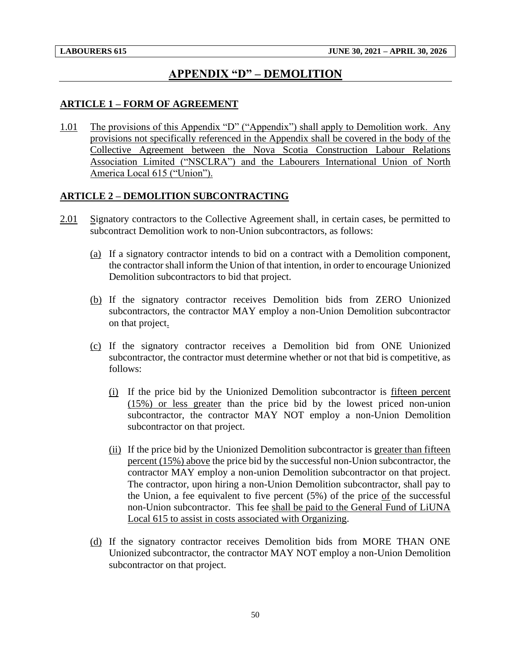## **APPENDIX "D" – DEMOLITION**

#### <span id="page-52-0"></span>**ARTICLE 1 – FORM OF AGREEMENT**

1.01 The provisions of this Appendix "D" ("Appendix") shall apply to Demolition work. Any provisions not specifically referenced in the Appendix shall be covered in the body of the Collective Agreement between the Nova Scotia Construction Labour Relations Association Limited ("NSCLRA") and the Labourers International Union of North America Local 615 ("Union").

#### **ARTICLE 2 – DEMOLITION SUBCONTRACTING**

- 2.01 Signatory contractors to the Collective Agreement shall, in certain cases, be permitted to subcontract Demolition work to non-Union subcontractors, as follows:
	- (a) If a signatory contractor intends to bid on a contract with a Demolition component, the contractor shall inform the Union of that intention, in order to encourage Unionized Demolition subcontractors to bid that project.
	- (b) If the signatory contractor receives Demolition bids from ZERO Unionized subcontractors, the contractor MAY employ a non-Union Demolition subcontractor on that project.
	- (c) If the signatory contractor receives a Demolition bid from ONE Unionized subcontractor, the contractor must determine whether or not that bid is competitive, as follows:
		- (i) If the price bid by the Unionized Demolition subcontractor is fifteen percent (15%) or less greater than the price bid by the lowest priced non-union subcontractor, the contractor MAY NOT employ a non-Union Demolition subcontractor on that project.
		- (ii) If the price bid by the Unionized Demolition subcontractor is greater than fifteen percent (15%) above the price bid by the successful non-Union subcontractor, the contractor MAY employ a non-union Demolition subcontractor on that project. The contractor, upon hiring a non-Union Demolition subcontractor, shall pay to the Union, a fee equivalent to five percent  $(5%)$  of the price of the successful non-Union subcontractor. This fee shall be paid to the General Fund of LiUNA Local 615 to assist in costs associated with Organizing.
	- (d) If the signatory contractor receives Demolition bids from MORE THAN ONE Unionized subcontractor, the contractor MAY NOT employ a non-Union Demolition subcontractor on that project.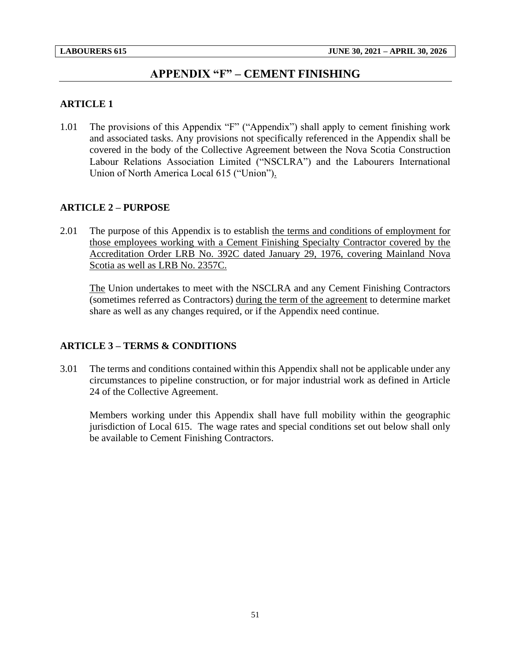## **APPENDIX "F" – CEMENT FINISHING**

#### <span id="page-53-0"></span>**ARTICLE 1**

1.01 The provisions of this Appendix "F" ("Appendix") shall apply to cement finishing work and associated tasks. Any provisions not specifically referenced in the Appendix shall be covered in the body of the Collective Agreement between the Nova Scotia Construction Labour Relations Association Limited ("NSCLRA") and the Labourers International Union of North America Local 615 ("Union").

#### **ARTICLE 2 – PURPOSE**

2.01 The purpose of this Appendix is to establish the terms and conditions of employment for those employees working with a Cement Finishing Specialty Contractor covered by the Accreditation Order LRB No. 392C dated January 29, 1976, covering Mainland Nova Scotia as well as LRB No. 2357C.

The Union undertakes to meet with the NSCLRA and any Cement Finishing Contractors (sometimes referred as Contractors) during the term of the agreement to determine market share as well as any changes required, or if the Appendix need continue.

#### **ARTICLE 3 – TERMS & CONDITIONS**

3.01 The terms and conditions contained within this Appendix shall not be applicable under any circumstances to pipeline construction, or for major industrial work as defined in Article 24 of the Collective Agreement.

Members working under this Appendix shall have full mobility within the geographic jurisdiction of Local 615. The wage rates and special conditions set out below shall only be available to Cement Finishing Contractors.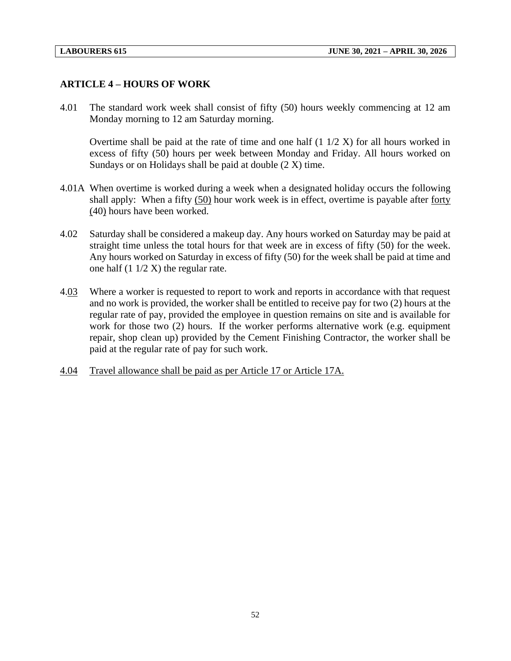#### **ARTICLE 4 – HOURS OF WORK**

4.01 The standard work week shall consist of fifty (50) hours weekly commencing at 12 am Monday morning to 12 am Saturday morning.

Overtime shall be paid at the rate of time and one half  $(1\ 1/2\ X)$  for all hours worked in excess of fifty (50) hours per week between Monday and Friday. All hours worked on Sundays or on Holidays shall be paid at double (2 X) time.

- 4.01A When overtime is worked during a week when a designated holiday occurs the following shall apply: When a fifty (50) hour work week is in effect, overtime is payable after forty (40) hours have been worked.
- 4.02 Saturday shall be considered a makeup day. Any hours worked on Saturday may be paid at straight time unless the total hours for that week are in excess of fifty (50) for the week. Any hours worked on Saturday in excess of fifty (50) for the week shall be paid at time and one half  $(1 \frac{1}{2} X)$  the regular rate.
- 4.03 Where a worker is requested to report to work and reports in accordance with that request and no work is provided, the worker shall be entitled to receive pay for two (2) hours at the regular rate of pay, provided the employee in question remains on site and is available for work for those two (2) hours. If the worker performs alternative work (e.g. equipment repair, shop clean up) provided by the Cement Finishing Contractor, the worker shall be paid at the regular rate of pay for such work.
- 4.04 Travel allowance shall be paid as per Article 17 or Article 17A.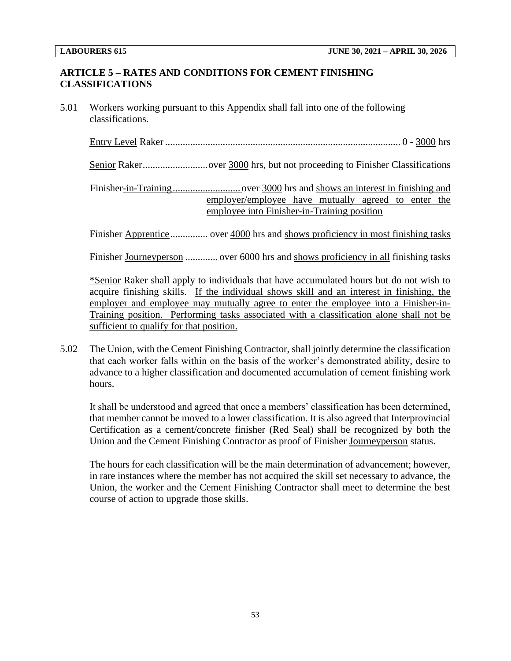#### **ARTICLE 5 – RATES AND CONDITIONS FOR CEMENT FINISHING CLASSIFICATIONS**

5.01 Workers working pursuant to this Appendix shall fall into one of the following classifications.

Entry Level Raker .............................................................................................. 0 - 3000 hrs

Senior Raker..................................over 3000 hrs, but not proceeding to Finisher Classifications

Finisher-in-Training........................... over 3000 hrs and shows an interest in finishing and employer/employee have mutually agreed to enter the employee into Finisher-in-Training position

Finisher Apprentice............... over 4000 hrs and shows proficiency in most finishing tasks

Finisher Journeyperson ............. over 6000 hrs and shows proficiency in all finishing tasks

\*Senior Raker shall apply to individuals that have accumulated hours but do not wish to acquire finishing skills. If the individual shows skill and an interest in finishing, the employer and employee may mutually agree to enter the employee into a Finisher-in-Training position. Performing tasks associated with a classification alone shall not be sufficient to qualify for that position.

5.02 The Union, with the Cement Finishing Contractor, shall jointly determine the classification that each worker falls within on the basis of the worker's demonstrated ability, desire to advance to a higher classification and documented accumulation of cement finishing work hours.

It shall be understood and agreed that once a members' classification has been determined, that member cannot be moved to a lower classification. It is also agreed that Interprovincial Certification as a cement/concrete finisher (Red Seal) shall be recognized by both the Union and the Cement Finishing Contractor as proof of Finisher Journeyperson status.

The hours for each classification will be the main determination of advancement; however, in rare instances where the member has not acquired the skill set necessary to advance, the Union, the worker and the Cement Finishing Contractor shall meet to determine the best course of action to upgrade those skills.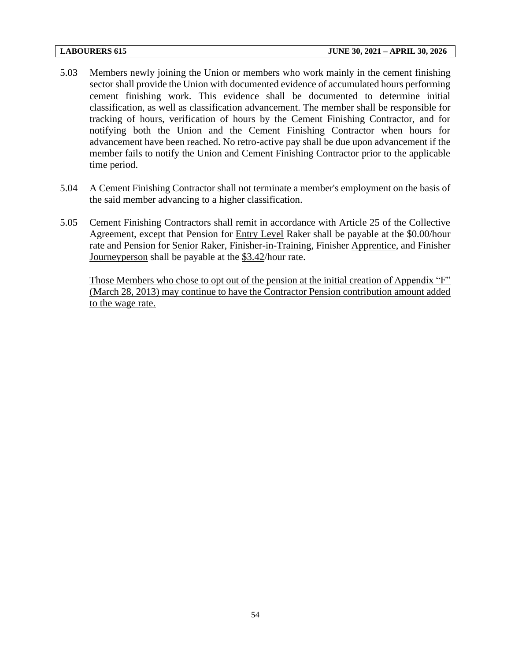- 5.03 Members newly joining the Union or members who work mainly in the cement finishing sector shall provide the Union with documented evidence of accumulated hours performing cement finishing work. This evidence shall be documented to determine initial classification, as well as classification advancement. The member shall be responsible for tracking of hours, verification of hours by the Cement Finishing Contractor, and for notifying both the Union and the Cement Finishing Contractor when hours for advancement have been reached. No retro-active pay shall be due upon advancement if the member fails to notify the Union and Cement Finishing Contractor prior to the applicable time period.
- 5.04 A Cement Finishing Contractor shall not terminate a member's employment on the basis of the said member advancing to a higher classification.
- 5.05 Cement Finishing Contractors shall remit in accordance with Article 25 of the Collective Agreement, except that Pension for Entry Level Raker shall be payable at the \$0.00/hour rate and Pension for Senior Raker, Finisher-in-Training, Finisher Apprentice, and Finisher Journeyperson shall be payable at the \$3.42/hour rate.

Those Members who chose to opt out of the pension at the initial creation of Appendix "F" (March 28, 2013) may continue to have the Contractor Pension contribution amount added to the wage rate.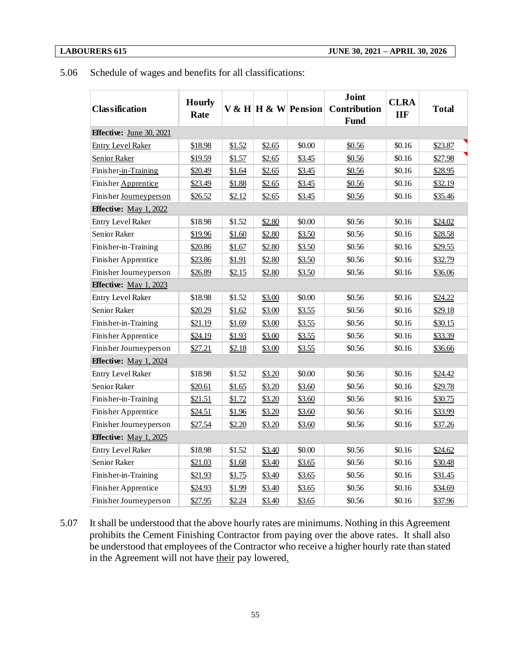#### 5.06 Schedule of wages and benefits for all classifications:

| <b>Classification</b>         | <b>Hourly</b><br>Rate |        |        | V & H   H & W   Pension | Joint<br><b>Contribution</b><br><b>Fund</b> | <b>CLRA</b><br><b>IIF</b> | <b>Total</b> |  |
|-------------------------------|-----------------------|--------|--------|-------------------------|---------------------------------------------|---------------------------|--------------|--|
| Effective: June 30, 2021      |                       |        |        |                         |                                             |                           |              |  |
| <b>Entry Level Raker</b>      | \$18.98               | \$1.52 | \$2.65 | \$0.00                  | \$0.56                                      | \$0.16                    | \$23.87      |  |
| <b>Senior Raker</b>           | \$19.59               | \$1.57 | \$2.65 | \$3.45                  | \$0.56                                      | \$0.16                    | \$27.98      |  |
| Finisher-in-Training          | \$20.49               | \$1.64 | \$2.65 | \$3.45                  | \$0.56                                      | \$0.16                    | \$28.95      |  |
| Finisher Apprentice           | \$23.49               | \$1.88 | \$2.65 | \$3.45                  | \$0.56                                      | \$0.16                    | \$32.19      |  |
| Finisher Journeyperson        | \$26.52               | \$2.12 | \$2.65 | \$3.45                  | \$0.56                                      | \$0.16                    | \$35.46      |  |
| <b>Effective:</b> May 1, 2022 |                       |        |        |                         |                                             |                           |              |  |
| Entry Level Raker             | \$18.98               | \$1.52 | \$2.80 | \$0.00                  | \$0.56                                      | \$0.16                    | \$24.02      |  |
| Senior Raker                  | \$19.96               | \$1.60 | \$2.80 | \$3.50                  | \$0.56                                      | \$0.16                    | \$28.58      |  |
| Finisher-in-Training          | \$20.86               | \$1.67 | \$2.80 | \$3.50                  | \$0.56                                      | \$0.16                    | \$29.55      |  |
| Finisher Apprentice           | \$23.86               | \$1.91 | \$2.80 | \$3.50                  | \$0.56                                      | \$0.16                    | \$32.79      |  |
| Finisher Journeyperson        | \$26.89               | \$2.15 | \$2.80 | \$3.50                  | \$0.56                                      | \$0.16                    | \$36.06      |  |
| <b>Effective:</b> May 1, 2023 |                       |        |        |                         |                                             |                           |              |  |
| <b>Entry Level Raker</b>      | \$18.98               | \$1.52 | \$3.00 | \$0.00                  | \$0.56                                      | \$0.16                    | \$24.22      |  |
| Senior Raker                  | \$20.29               | \$1.62 | \$3.00 | \$3.55                  | \$0.56                                      | \$0.16                    | \$29.18      |  |
| Finisher-in-Training          | \$21.19               | \$1.69 | \$3.00 | \$3.55                  | \$0.56                                      | \$0.16                    | \$30.15      |  |
| Finisher Apprentice           | \$24.19               | \$1.93 | \$3.00 | \$3.55                  | \$0.56                                      | \$0.16                    | \$33.39      |  |
| Finisher Journeyperson        | \$27.21               | \$2.18 | \$3.00 | \$3.55                  | \$0.56                                      | \$0.16                    | \$36.66      |  |
| <b>Effective:</b> May 1, 2024 |                       |        |        |                         |                                             |                           |              |  |
| <b>Entry Level Raker</b>      | \$18.98               | \$1.52 | \$3.20 | \$0.00                  | \$0.56                                      | \$0.16                    | \$24.42      |  |
| Senior Raker                  | \$20.61               | \$1.65 | \$3.20 | \$3.60                  | \$0.56                                      | \$0.16                    | \$29.78      |  |
| Finisher-in-Training          | \$21.51               | \$1.72 | \$3.20 | \$3.60                  | \$0.56                                      | \$0.16                    | \$30.75      |  |
| Finisher Apprentice           | \$24.51               | \$1.96 | \$3.20 | \$3.60                  | \$0.56                                      | \$0.16                    | \$33.99      |  |
| Finisher Journeyperson        | \$27.54               | \$2.20 | \$3.20 | \$3.60                  | \$0.56                                      | \$0.16                    | \$37.26      |  |
| <b>Effective:</b> May 1, 2025 |                       |        |        |                         |                                             |                           |              |  |
| <b>Entry Level Raker</b>      | \$18.98               | \$1.52 | \$3.40 | \$0.00                  | \$0.56                                      | \$0.16                    | \$24.62      |  |
| Senior Raker                  | \$21.03               | \$1.68 | \$3.40 | \$3.65                  | \$0.56                                      | \$0.16                    | \$30.48      |  |
| Finisher-in-Training          | \$21.93               | \$1.75 | \$3.40 | \$3.65                  | \$0.56                                      | \$0.16                    | \$31.45      |  |
| Finisher Apprentice           | \$24.93               | \$1.99 | \$3.40 | \$3.65                  | \$0.56                                      | \$0.16                    | \$34.69      |  |
| Finisher Journeyperson        | \$27.95               | \$2.24 | \$3.40 | \$3.65                  | \$0.56                                      | \$0.16                    | \$37.96      |  |

5.07 It shall be understood that the above hourly rates are minimums. Nothing in this Agreement prohibits the Cement Finishing Contractor from paying over the above rates. It shall also be understood that employees of the Contractor who receive a higher hourly rate than stated in the Agreement will not have their pay lowered.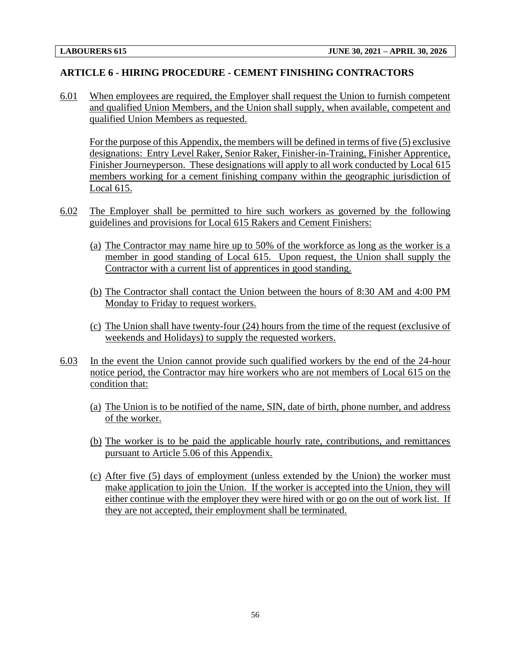#### **ARTICLE 6 - HIRING PROCEDURE - CEMENT FINISHING CONTRACTORS**

6.01 When employees are required, the Employer shall request the Union to furnish competent and qualified Union Members, and the Union shall supply, when available, competent and qualified Union Members as requested.

For the purpose of this Appendix, the members will be defined in terms of five (5) exclusive designations: Entry Level Raker, Senior Raker, Finisher-in-Training, Finisher Apprentice, Finisher Journeyperson. These designations will apply to all work conducted by Local 615 members working for a cement finishing company within the geographic jurisdiction of Local 615.

- 6.02 The Employer shall be permitted to hire such workers as governed by the following guidelines and provisions for Local 615 Rakers and Cement Finishers:
	- (a) The Contractor may name hire up to 50% of the workforce as long as the worker is a member in good standing of Local 615. Upon request, the Union shall supply the Contractor with a current list of apprentices in good standing.
	- (b) The Contractor shall contact the Union between the hours of 8:30 AM and 4:00 PM Monday to Friday to request workers.
	- (c) The Union shall have twenty-four (24) hours from the time of the request (exclusive of weekends and Holidays) to supply the requested workers.
- 6.03 In the event the Union cannot provide such qualified workers by the end of the 24-hour notice period, the Contractor may hire workers who are not members of Local 615 on the condition that:
	- (a) The Union is to be notified of the name, SIN, date of birth, phone number, and address of the worker.
	- (b) The worker is to be paid the applicable hourly rate, contributions, and remittances pursuant to Article 5.06 of this Appendix.
	- (c) After five (5) days of employment (unless extended by the Union) the worker must make application to join the Union. If the worker is accepted into the Union, they will either continue with the employer they were hired with or go on the out of work list. If they are not accepted, their employment shall be terminated.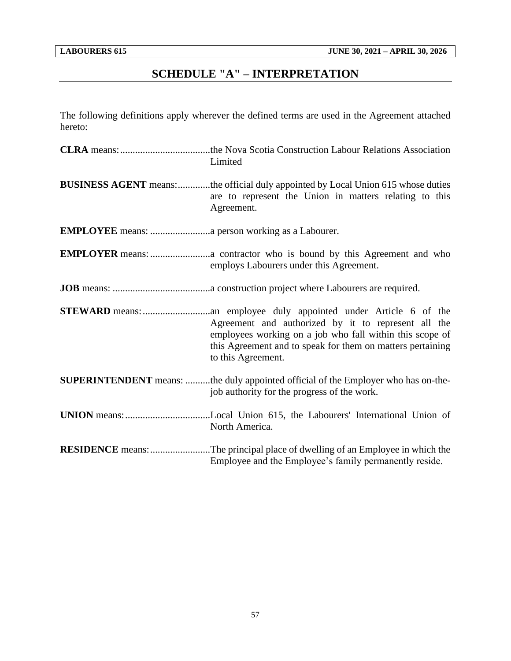# **SCHEDULE "A" – INTERPRETATION**

<span id="page-59-0"></span>The following definitions apply wherever the defined terms are used in the Agreement attached hereto:

| Limited                                                                                                                                                                                             |
|-----------------------------------------------------------------------------------------------------------------------------------------------------------------------------------------------------|
| <b>BUSINESS AGENT</b> means:the official duly appointed by Local Union 615 whose duties<br>are to represent the Union in matters relating to this<br>Agreement.                                     |
|                                                                                                                                                                                                     |
| employs Labourers under this Agreement.                                                                                                                                                             |
|                                                                                                                                                                                                     |
| Agreement and authorized by it to represent all the<br>employees working on a job who fall within this scope of<br>this Agreement and to speak for them on matters pertaining<br>to this Agreement. |
| <b>SUPERINTENDENT</b> means: the duly appointed official of the Employer who has on-the-<br>job authority for the progress of the work.                                                             |
| North America.                                                                                                                                                                                      |
| <b>RESIDENCE</b> means: The principal place of dwelling of an Employee in which the<br>Employee and the Employee's family permanently reside.                                                       |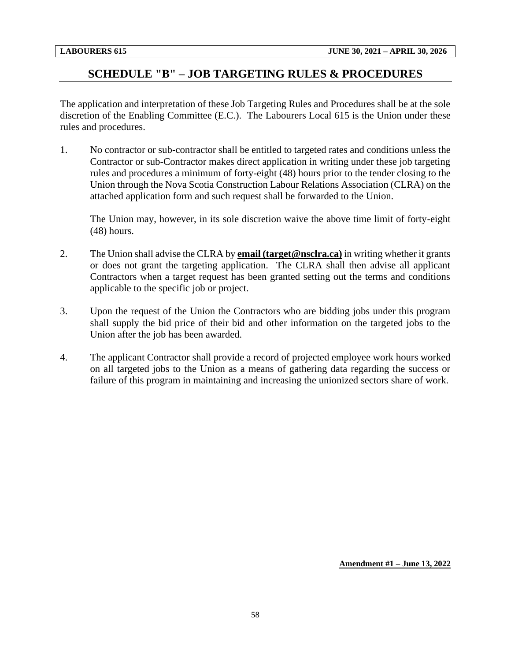## <span id="page-60-0"></span>**SCHEDULE "B" – JOB TARGETING RULES & PROCEDURES**

The application and interpretation of these Job Targeting Rules and Procedures shall be at the sole discretion of the Enabling Committee (E.C.). The Labourers Local 615 is the Union under these rules and procedures.

1. No contractor or sub-contractor shall be entitled to targeted rates and conditions unless the Contractor or sub-Contractor makes direct application in writing under these job targeting rules and procedures a minimum of forty-eight (48) hours prior to the tender closing to the Union through the Nova Scotia Construction Labour Relations Association (CLRA) on the attached application form and such request shall be forwarded to the Union.

The Union may, however, in its sole discretion waive the above time limit of forty-eight (48) hours.

- 2. The Union shall advise the CLRA by **email (target@nsclra.ca)** in writing whether it grants or does not grant the targeting application. The CLRA shall then advise all applicant Contractors when a target request has been granted setting out the terms and conditions applicable to the specific job or project.
- 3. Upon the request of the Union the Contractors who are bidding jobs under this program shall supply the bid price of their bid and other information on the targeted jobs to the Union after the job has been awarded.
- 4. The applicant Contractor shall provide a record of projected employee work hours worked on all targeted jobs to the Union as a means of gathering data regarding the success or failure of this program in maintaining and increasing the unionized sectors share of work.

**Amendment #1 – June 13, 2022**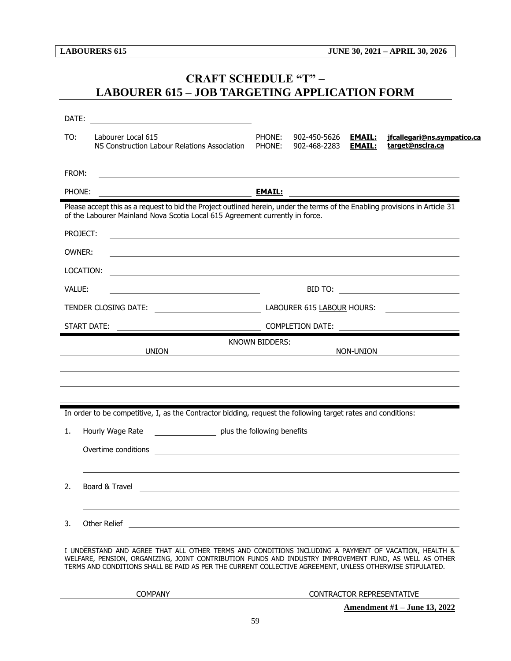## <span id="page-61-0"></span>**CRAFT SCHEDULE "T" – LABOURER 615 – JOB TARGETING APPLICATION FORM**

| DATE:         | <u> 1989 - Andrea Stadt Britain, fransk politik (</u>                                                                                                                                                                                                                                                                      |                       |                              |                                |                                                                                                                       |
|---------------|----------------------------------------------------------------------------------------------------------------------------------------------------------------------------------------------------------------------------------------------------------------------------------------------------------------------------|-----------------------|------------------------------|--------------------------------|-----------------------------------------------------------------------------------------------------------------------|
| TO:           | Labourer Local 615<br>NS Construction Labour Relations Association                                                                                                                                                                                                                                                         | PHONE:<br>PHONE:      | 902-450-5626<br>902-468-2283 | <b>EMAIL:</b><br><b>EMAIL:</b> | jfcallegari@ns.sympatico.ca<br>target@nsclra.ca                                                                       |
| FROM:         | <u> 1989 - Johann Stoff, amerikansk politiker (d. 1989)</u>                                                                                                                                                                                                                                                                |                       |                              |                                |                                                                                                                       |
| PHONE:        |                                                                                                                                                                                                                                                                                                                            | <b>EMAIL:</b>         |                              |                                |                                                                                                                       |
|               | Please accept this as a request to bid the Project outlined herein, under the terms of the Enabling provisions in Article 31<br>of the Labourer Mainland Nova Scotia Local 615 Agreement currently in force.                                                                                                               |                       |                              |                                |                                                                                                                       |
|               | PROJECT:                                                                                                                                                                                                                                                                                                                   |                       |                              |                                |                                                                                                                       |
|               |                                                                                                                                                                                                                                                                                                                            |                       |                              |                                |                                                                                                                       |
| <b>OWNER:</b> |                                                                                                                                                                                                                                                                                                                            |                       |                              |                                |                                                                                                                       |
|               | LOCATION:                                                                                                                                                                                                                                                                                                                  |                       |                              |                                |                                                                                                                       |
| VALUE:        |                                                                                                                                                                                                                                                                                                                            |                       |                              |                                |                                                                                                                       |
|               |                                                                                                                                                                                                                                                                                                                            |                       |                              |                                |                                                                                                                       |
|               | START DATE:                                                                                                                                                                                                                                                                                                                |                       |                              |                                |                                                                                                                       |
|               | <b>UNION</b>                                                                                                                                                                                                                                                                                                               | <b>KNOWN BIDDERS:</b> |                              | NON-UNION                      | <u> 1990 - Jan Barbara Barbara, prima populație de la proprietat de la proprietat de la proprietat de la propriet</u> |
|               |                                                                                                                                                                                                                                                                                                                            |                       |                              |                                |                                                                                                                       |
|               |                                                                                                                                                                                                                                                                                                                            |                       |                              |                                |                                                                                                                       |
|               |                                                                                                                                                                                                                                                                                                                            |                       |                              |                                |                                                                                                                       |
|               | In order to be competitive, I, as the Contractor bidding, request the following target rates and conditions:                                                                                                                                                                                                               |                       |                              |                                |                                                                                                                       |
| 1.            | plus the following benefits<br>Hourly Wage Rate                                                                                                                                                                                                                                                                            |                       |                              |                                |                                                                                                                       |
|               | Overtime conditions<br><u> 1989 - Johann Stein, marwolaethau a bhann an t-Amhair an t-Amhair an t-Amhair an t-Amhair an t-Amhair an t-A</u>                                                                                                                                                                                |                       |                              |                                |                                                                                                                       |
|               |                                                                                                                                                                                                                                                                                                                            |                       |                              |                                |                                                                                                                       |
| z.            | Board & Travel                                                                                                                                                                                                                                                                                                             |                       |                              |                                |                                                                                                                       |
|               |                                                                                                                                                                                                                                                                                                                            |                       |                              |                                |                                                                                                                       |
| 3.            | Other Relief                                                                                                                                                                                                                                                                                                               |                       |                              |                                |                                                                                                                       |
|               |                                                                                                                                                                                                                                                                                                                            |                       |                              |                                |                                                                                                                       |
|               | I UNDERSTAND AND AGREE THAT ALL OTHER TERMS AND CONDITIONS INCLUDING A PAYMENT OF VACATION, HEALTH &<br>WELFARE, PENSION, ORGANIZING, JOINT CONTRIBUTION FUNDS AND INDUSTRY IMPROVEMENT FUND, AS WELL AS OTHER<br>TERMS AND CONDITIONS SHALL BE PAID AS PER THE CURRENT COLLECTIVE AGREEMENT, UNLESS OTHERWISE STIPULATED. |                       |                              |                                |                                                                                                                       |
|               | COMPANY                                                                                                                                                                                                                                                                                                                    |                       |                              |                                | CONTRACTOR REPRESENTATIVE                                                                                             |